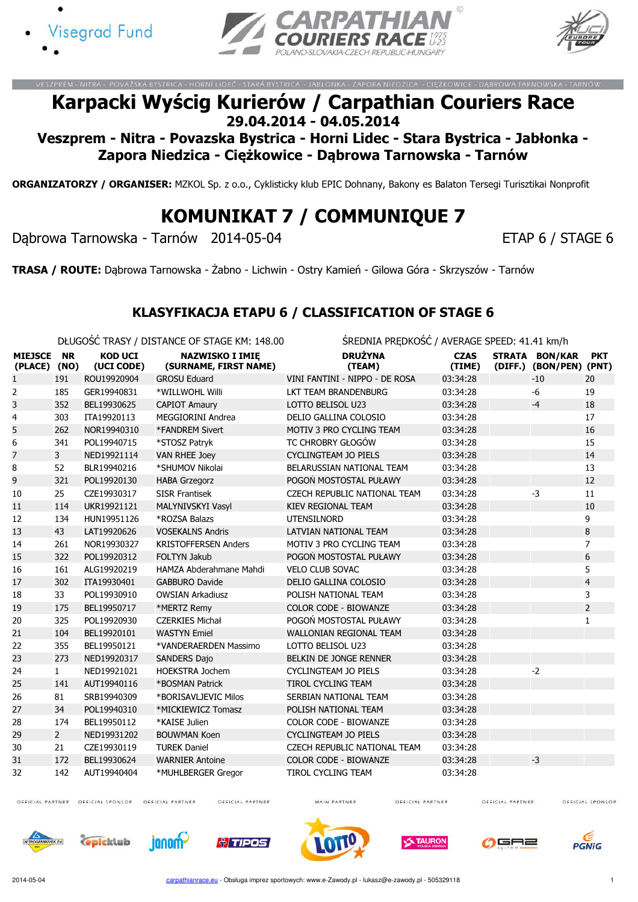





ORNÍ LIDEČ - STARÁ BYSTRICA - JABŁONKA - ZAPORA NIEDZICA - CIEŻKOWICE

## Karpacki Wyścig Kurierów / Carpathian Couriers Race 29.04.2014 - 04.05.2014

Veszprem - Nitra - Povazska Bystrica - Horni Lidec - Stara Bystrica - Jabłonka - Zapora Niedzica - Ciężkowice - Dąbrowa Tarnowska - Tarnów

ORGANIZATORZY / ORGANISER: MZKOL Sp. z o.o., Cyklisticky klub EPIC Dohnany, Bakony es Balaton Tersegi Turisztikai Nonprofit

# KOMUNIKAT 7 / COMMUNIQUE 7

Dąbrowa Tarnowska - Tarnów 2014-05-04 ETAP 6 / STAGE 6

TRASA / ROUTE: Dąbrowa Tarnowska - Żabno - Lichwin - Ostry Kamień - Gilowa Góra - Skrzyszów - Tarnów

#### KLASYFIKACJA ETAPU 6 / CLASSIFICATION OF STAGE 6

DŁUGOŚĆ TRASY / DISTANCE OF STAGE KM: 148.00 ŚREDNIA PRĘDKOŚĆ / AVERAGE SPEED: 41.41 km/h

| <b>MIEJSCE</b><br>(PLACE) | <b>NR</b><br>(NO) | <b>KOD UCI</b><br>(UCI CODE) | <b>NAZWISKO I IMIE</b><br>(SURNAME, FIRST NAME) | <b>DRUŻYNA</b><br>(TEAM)            | <b>CZAS</b><br>(TIME) | STRATA BON/KAR<br>(DIFF.) (BON/PEN) (PNT) | <b>PKT</b>     |
|---------------------------|-------------------|------------------------------|-------------------------------------------------|-------------------------------------|-----------------------|-------------------------------------------|----------------|
| 1                         | 191               | ROU19920904                  | <b>GROSU Eduard</b>                             | VINI FANTINI - NIPPO - DE ROSA      | 03:34:28              | $-10$                                     | 20             |
| 2                         | 185               | GER19940831                  | *WILLWOHL Willi                                 | LKT TEAM BRANDENBURG                | 03:34:28              | $-6$                                      | 19             |
| 3                         | 352               | BEL19930625                  | <b>CAPIOT Amaury</b>                            | LOTTO BELISOL U23                   | 03:34:28              | $-4$                                      | 18             |
| 4                         | 303               | ITA19920113                  | MEGGIORINI Andrea                               | DELIO GALLINA COLOSIO               | 03:34:28              |                                           | 17             |
| 5                         | 262               | NOR19940310                  | *FANDREM Sivert                                 | MOTIV 3 PRO CYCLING TEAM            | 03:34:28              |                                           | 16             |
| 6                         | 341               | POL19940715                  | *STOSZ Patryk                                   | TC CHROBRY GŁOGÓW                   | 03:34:28              |                                           | 15             |
| 7                         | 3                 | NED19921114                  | <b>VAN RHEE Joey</b>                            | <b>CYCLINGTEAM JO PIELS</b>         | 03:34:28              |                                           | 14             |
| 8                         | 52                | BLR19940216                  | *SHUMOV Nikolai                                 | BELARUSSIAN NATIONAL TEAM           | 03:34:28              |                                           | 13             |
| 9                         | 321               | POL19920130                  | <b>HABA Grzegorz</b>                            | POGOŃ MOSTOSTAL PUŁAWY              | 03:34:28              |                                           | 12             |
| 10                        | 25                | CZE19930317                  | <b>SISR Frantisek</b>                           | CZECH REPUBLIC NATIONAL TEAM        | 03:34:28              | $-3$                                      | 11             |
| 11                        | 114               | UKR19921121                  | MALYNIVSKYI Vasyl                               | <b>KIEV REGIONAL TEAM</b>           | 03:34:28              |                                           | 10             |
| 12                        | 134               | HUN19951126                  | *ROZSA Balazs                                   | <b>UTENSILNORD</b>                  | 03:34:28              |                                           | 9              |
| 13                        | 43                | LAT19920626                  | <b>VOSEKALNS Andris</b>                         | LATVIAN NATIONAL TEAM               | 03:34:28              |                                           | 8              |
| 14                        | 261               | NOR19930327                  | <b>KRISTOFFERSEN Anders</b>                     | MOTIV 3 PRO CYCLING TEAM            | 03:34:28              |                                           | $\overline{7}$ |
| 15                        | 322               | POL19920312                  | <b>FOLTYN Jakub</b>                             | POGOŃ MOSTOSTAL PUŁAWY              | 03:34:28              |                                           | 6              |
| 16                        | 161               | ALG19920219                  | HAMZA Abderahmane Mahdi                         | <b>VELO CLUB SOVAC</b>              | 03:34:28              |                                           | 5              |
| 17                        | 302               | ITA19930401                  | <b>GABBURO Davide</b>                           | DELIO GALLINA COLOSIO               | 03:34:28              |                                           | $\overline{4}$ |
| 18                        | 33                | POL19930910                  | <b>OWSIAN Arkadiusz</b>                         | POLISH NATIONAL TEAM                | 03:34:28              |                                           | 3              |
| 19                        | 175               | BEL19950717                  | *MERTZ Remy                                     | <b>COLOR CODE - BIOWANZE</b>        | 03:34:28              |                                           | $\overline{2}$ |
| 20                        | 325               | POL19920930                  | <b>CZERKIES Michał</b>                          | POGOŃ MOSTOSTAL PUŁAWY              | 03:34:28              |                                           | $\mathbf{1}$   |
| 21                        | 104               | BEL19920101                  | <b>WASTYN Emiel</b>                             | <b>WALLONIAN REGIONAL TEAM</b>      | 03:34:28              |                                           |                |
| 22                        | 355               | BEL19950121                  | *VANDERAERDEN Massimo                           | LOTTO BELISOL U23                   | 03:34:28              |                                           |                |
| 23                        | 273               | NED19920317                  | <b>SANDERS Dajo</b>                             | BELKIN DE JONGE RENNER              | 03:34:28              |                                           |                |
| 24                        | $\mathbf{1}$      | NED19921021                  | <b>HOEKSTRA Jochem</b>                          | <b>CYCLINGTEAM JO PIELS</b>         | 03:34:28              | $-2$                                      |                |
| 25                        | 141               | AUT19940116                  | *BOSMAN Patrick                                 | TIROL CYCLING TEAM                  | 03:34:28              |                                           |                |
| 26                        | 81                | SRB19940309                  | *BORISAVLJEVIC Milos                            | SERBIAN NATIONAL TEAM               | 03:34:28              |                                           |                |
| 27                        | 34                | POL19940310                  | *MICKIEWICZ Tomasz                              | POLISH NATIONAL TEAM                | 03:34:28              |                                           |                |
| 28                        | 174               | BEL19950112                  | *KAISE Julien                                   | <b>COLOR CODE - BIOWANZE</b>        | 03:34:28              |                                           |                |
| 29                        | $\overline{2}$    | NED19931202                  | <b>BOUWMAN Koen</b>                             | <b>CYCLINGTEAM JO PIELS</b>         | 03:34:28              |                                           |                |
| 30                        | 21                | CZE19930119                  | <b>TUREK Daniel</b>                             | <b>CZECH REPUBLIC NATIONAL TEAM</b> | 03:34:28              |                                           |                |
| 31                        | 172               | BEL19930624                  | <b>WARNIER Antoine</b>                          | <b>COLOR CODE - BIOWANZE</b>        | 03:34:28              | $-3$                                      |                |
| 32                        | 142               | AUT19940404                  | *MUHLBERGER Gregor                              | TIROL CYCLING TEAM                  | 03:34:28              |                                           |                |

OFFICIAL PARTNER OFFICIAL SPONSOR

OFFICIAL PARTNER

OFFICIAL PARTNER

MAIN PARTNER

OFFICIAL PARTNER

OFFICIAL PARTNER















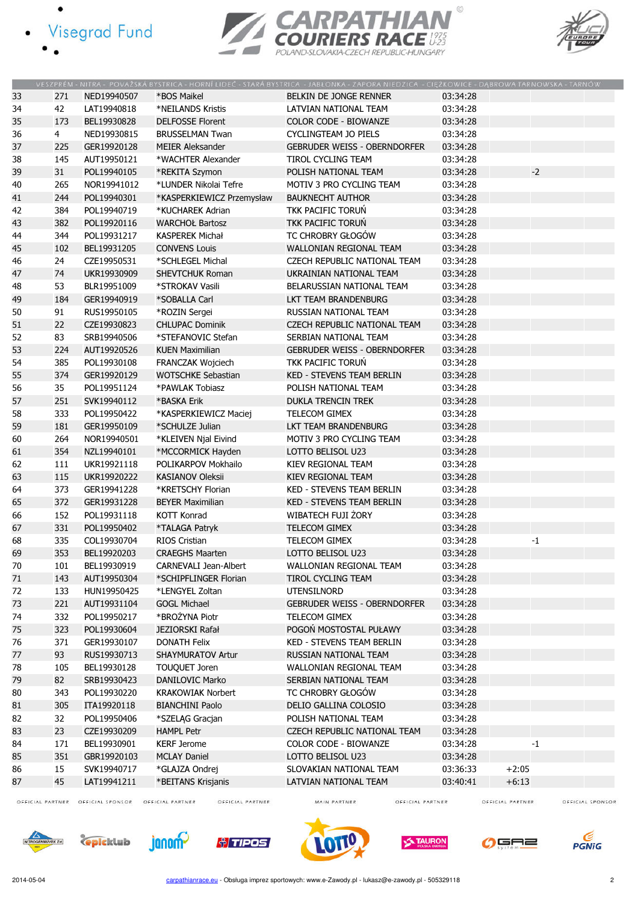- · Visegrad Fund
	-

 $\bullet$ 





|    |                |             |                           | VESZPRÉM - NITRA - POVAŽSKÁ BYSTRICA - HORNÍ LIDEČ - STARÁ BYSTRICA - JABŁONKA - ZAPORA NIEDZICA - CIEŻKOWICE - DABROWA TARNOWSKA - TARNÓW |          |         |  |
|----|----------------|-------------|---------------------------|--------------------------------------------------------------------------------------------------------------------------------------------|----------|---------|--|
| 33 | 271            | NED19940507 | *BOS Maikel               | BELKIN DE JONGE RENNER                                                                                                                     | 03:34:28 |         |  |
| 34 | 42             | LAT19940818 | *NEILANDS Kristis         | LATVIAN NATIONAL TEAM                                                                                                                      | 03:34:28 |         |  |
| 35 | 173            | BEL19930828 | <b>DELFOSSE Florent</b>   | COLOR CODE - BIOWANZE                                                                                                                      | 03:34:28 |         |  |
| 36 | $\overline{4}$ | NED19930815 | <b>BRUSSELMAN Twan</b>    | CYCLINGTEAM JO PIELS                                                                                                                       | 03:34:28 |         |  |
| 37 | 225            | GER19920128 | <b>MEIER Aleksander</b>   | <b>GEBRUDER WEISS - OBERNDORFER</b>                                                                                                        | 03:34:28 |         |  |
| 38 | 145            | AUT19950121 | *WACHTER Alexander        | TIROL CYCLING TEAM                                                                                                                         | 03:34:28 |         |  |
| 39 | 31             | POL19940105 | *REKITA Szymon            | POLISH NATIONAL TEAM                                                                                                                       | 03:34:28 | $-2$    |  |
| 40 | 265            | NOR19941012 | *LUNDER Nikolai Tefre     | MOTIV 3 PRO CYCLING TEAM                                                                                                                   | 03:34:28 |         |  |
| 41 | 244            | POL19940301 | *KASPERKIEWICZ Przemysław | <b>BAUKNECHT AUTHOR</b>                                                                                                                    | 03:34:28 |         |  |
| 42 | 384            | POL19940719 | *KUCHAREK Adrian          | TKK PACIFIC TORUŃ                                                                                                                          | 03:34:28 |         |  |
| 43 | 382            | POL19920116 | <b>WARCHOŁ Bartosz</b>    | <b>TKK PACIFIC TORUN</b>                                                                                                                   | 03:34:28 |         |  |
| 44 | 344            | POL19931217 | <b>KASPEREK Michał</b>    | TC CHROBRY GŁOGÓW                                                                                                                          | 03:34:28 |         |  |
| 45 | 102            | BEL19931205 | <b>CONVENS Louis</b>      | WALLONIAN REGIONAL TEAM                                                                                                                    | 03:34:28 |         |  |
| 46 | 24             | CZE19950531 | *SCHLEGEL Michal          | CZECH REPUBLIC NATIONAL TEAM                                                                                                               | 03:34:28 |         |  |
| 47 | 74             | UKR19930909 | SHEVTCHUK Roman           | UKRAINIAN NATIONAL TEAM                                                                                                                    | 03:34:28 |         |  |
| 48 | 53             | BLR19951009 | *STROKAV Vasili           | BELARUSSIAN NATIONAL TEAM                                                                                                                  | 03:34:28 |         |  |
| 49 | 184            | GER19940919 | *SOBALLA Carl             | <b>LKT TEAM BRANDENBURG</b>                                                                                                                | 03:34:28 |         |  |
| 50 | 91             | RUS19950105 | *ROZIN Sergei             | <b>RUSSIAN NATIONAL TEAM</b>                                                                                                               | 03:34:28 |         |  |
| 51 | 22             | CZE19930823 | <b>CHLUPAC Dominik</b>    | CZECH REPUBLIC NATIONAL TEAM                                                                                                               | 03:34:28 |         |  |
| 52 | 83             | SRB19940506 | *STEFANOVIC Stefan        | SERBIAN NATIONAL TEAM                                                                                                                      | 03:34:28 |         |  |
| 53 | 224            | AUT19920526 | <b>KUEN Maximilian</b>    | <b>GEBRUDER WEISS - OBERNDORFER</b>                                                                                                        | 03:34:28 |         |  |
| 54 | 385            | POL19930108 | <b>FRANCZAK Wojciech</b>  | TKK PACIFIC TORUŃ                                                                                                                          | 03:34:28 |         |  |
| 55 | 374            | GER19920129 | <b>WOTSCHKE Sebastian</b> | <b>KED - STEVENS TEAM BERLIN</b>                                                                                                           | 03:34:28 |         |  |
| 56 | 35             | POL19951124 | *PAWLAK Tobiasz           | POLISH NATIONAL TEAM                                                                                                                       | 03:34:28 |         |  |
| 57 | 251            | SVK19940112 | *BASKA Erik               | <b>DUKLA TRENCIN TREK</b>                                                                                                                  | 03:34:28 |         |  |
| 58 | 333            | POL19950422 | *KASPERKIEWICZ Maciej     | TELECOM GIMEX                                                                                                                              | 03:34:28 |         |  |
| 59 | 181            | GER19950109 | *SCHULZE Julian           | LKT TEAM BRANDENBURG                                                                                                                       | 03:34:28 |         |  |
| 60 | 264            | NOR19940501 |                           | MOTIV 3 PRO CYCLING TEAM                                                                                                                   | 03:34:28 |         |  |
| 61 | 354            | NZL19940101 | *KLEIVEN Njal Eivind      | LOTTO BELISOL U23                                                                                                                          | 03:34:28 |         |  |
|    |                |             | *MCCORMICK Hayden         |                                                                                                                                            |          |         |  |
| 62 | 111            | UKR19921118 | POLIKARPOV Mokhailo       | KIEV REGIONAL TEAM                                                                                                                         | 03:34:28 |         |  |
| 63 | 115            | UKR19920222 | <b>KASIANOV Oleksii</b>   | KIEV REGIONAL TEAM                                                                                                                         | 03:34:28 |         |  |
| 64 | 373            | GER19941228 | *KRETSCHY Florian         | KED - STEVENS TEAM BERLIN                                                                                                                  | 03:34:28 |         |  |
| 65 | 372            | GER19931228 | <b>BEYER Maximilian</b>   | KED - STEVENS TEAM BERLIN                                                                                                                  | 03:34:28 |         |  |
| 66 | 152            | POL19931118 | <b>KOTT Konrad</b>        | WIBATECH FUJI ŻORY                                                                                                                         | 03:34:28 |         |  |
| 67 | 331            | POL19950402 | *TALAGA Patryk            | <b>TELECOM GIMEX</b>                                                                                                                       | 03:34:28 |         |  |
| 68 | 335            | COL19930704 | <b>RIOS Cristian</b>      | TELECOM GIMEX                                                                                                                              | 03:34:28 | $-1$    |  |
| 69 | 353            | BEL19920203 | <b>CRAEGHS Maarten</b>    | LOTTO BELISOL U23                                                                                                                          | 03:34:28 |         |  |
| 70 | 101            | BEL19930919 | CARNEVALI Jean-Albert     | WALLONIAN REGIONAL TEAM                                                                                                                    | 03:34:28 |         |  |
| 71 | 143            | AUT19950304 | *SCHIPFLINGER Florian     | TIROL CYCLING TEAM                                                                                                                         | 03:34:28 |         |  |
| 72 | 133            | HUN19950425 | *LENGYEL Zoltan           | UTENSILNORD                                                                                                                                | 03:34:28 |         |  |
| 73 | 221            | AUT19931104 | <b>GOGL Michael</b>       | <b>GEBRUDER WEISS - OBERNDORFER</b>                                                                                                        | 03:34:28 |         |  |
| 74 | 332            | POL19950217 | *BROŻYNA Piotr            | TELECOM GIMEX                                                                                                                              | 03:34:28 |         |  |
| 75 | 323            | POL19930604 | JEZIORSKI Rafał           | POGOŃ MOSTOSTAL PUŁAWY                                                                                                                     | 03:34:28 |         |  |
| 76 | 371            | GER19930107 | <b>DONATH Felix</b>       | KED - STEVENS TEAM BERLIN                                                                                                                  | 03:34:28 |         |  |
| 77 | 93             | RUS19930713 | SHAYMURATOV Artur         | <b>RUSSIAN NATIONAL TEAM</b>                                                                                                               | 03:34:28 |         |  |
| 78 | 105            | BEL19930128 | TOUQUET Joren             | WALLONIAN REGIONAL TEAM                                                                                                                    | 03:34:28 |         |  |
| 79 | 82             | SRB19930423 | DANILOVIC Marko           | SERBIAN NATIONAL TEAM                                                                                                                      | 03:34:28 |         |  |
| 80 | 343            | POL19930220 | <b>KRAKOWIAK Norbert</b>  | TC CHROBRY GŁOGÓW                                                                                                                          | 03:34:28 |         |  |
| 81 | 305            | ITA19920118 | <b>BIANCHINI Paolo</b>    | DELIO GALLINA COLOSIO                                                                                                                      | 03:34:28 |         |  |
| 82 | 32             | POL19950406 | *SZELĄG Gracjan           | POLISH NATIONAL TEAM                                                                                                                       | 03:34:28 |         |  |
| 83 | 23             | CZE19930209 | <b>HAMPL Petr</b>         | CZECH REPUBLIC NATIONAL TEAM                                                                                                               | 03:34:28 |         |  |
| 84 | 171            | BEL19930901 | <b>KERF Jerome</b>        | COLOR CODE - BIOWANZE                                                                                                                      | 03:34:28 | $-1$    |  |
| 85 | 351            | GBR19920103 | <b>MCLAY Daniel</b>       | LOTTO BELISOL U23                                                                                                                          | 03:34:28 |         |  |
| 86 | 15             | SVK19940717 | *GLAJZA Ondrej            | SLOVAKIAN NATIONAL TEAM                                                                                                                    | 03:36:33 | $+2:05$ |  |
| 87 | 45             | LAT19941211 | *BEITANS Krisjanis        | LATVIAN NATIONAL TEAM                                                                                                                      | 03:40:41 | $+6:13$ |  |

OFFICIAL PARTNER OFFICIAL SPONSOR OFFICIAL PARTNER

OFFICIAL PARTNER

MAIN PARTNER

OFFICIAL PARTNER

OFFICIAL PARTNER OFFICIAL SPONSOR













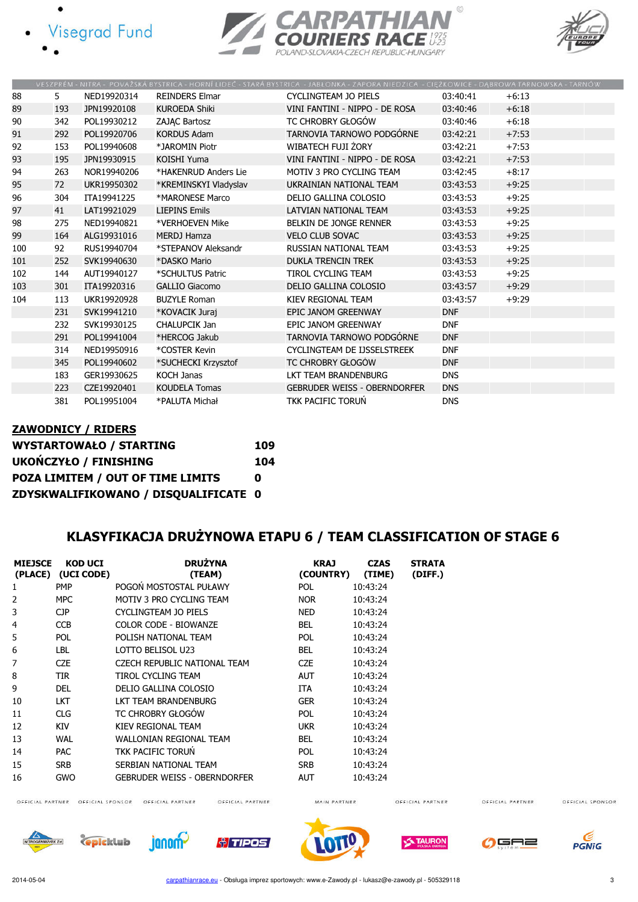- **Visegrad Fund** 
	-





|     |     |             |                       | VESZPREM - NITRA - POVAZSKA BYSTRICA - HORNI LIDEC - STARA BYSTRICA - JABŁONKA - ZAPORA NIEDZICA - CIĘZKOWICE - DĄBROWA TARNOWSKA - TARNOW |            |         |  |
|-----|-----|-------------|-----------------------|--------------------------------------------------------------------------------------------------------------------------------------------|------------|---------|--|
| 88  | 5   | NED19920314 | <b>REINDERS Elmar</b> | <b>CYCLINGTEAM JO PIELS</b>                                                                                                                | 03:40:41   | $+6:13$ |  |
| 89  | 193 | JPN19920108 | <b>KUROEDA Shiki</b>  | VINI FANTINI - NIPPO - DE ROSA                                                                                                             | 03:40:46   | $+6:18$ |  |
| 90  | 342 | POL19930212 | <b>ZAJAC Bartosz</b>  | TC CHROBRY GŁOGÓW                                                                                                                          | 03:40:46   | $+6:18$ |  |
| 91  | 292 | POL19920706 | <b>KORDUS Adam</b>    | TARNOVIA TARNOWO PODGÓRNE                                                                                                                  | 03:42:21   | $+7:53$ |  |
| 92  | 153 | POL19940608 | *JAROMIN Piotr        | WIBATECH FUJI ŻORY                                                                                                                         | 03:42:21   | $+7:53$ |  |
| 93  | 195 | JPN19930915 | <b>KOISHI Yuma</b>    | VINI FANTINI - NIPPO - DE ROSA                                                                                                             | 03:42:21   | $+7:53$ |  |
| 94  | 263 | NOR19940206 | *HAKENRUD Anders Lie  | MOTIV 3 PRO CYCLING TEAM                                                                                                                   | 03:42:45   | $+8:17$ |  |
| 95  | 72  | UKR19950302 | *KREMINSKYI Vladyslav | UKRAINIAN NATIONAL TEAM                                                                                                                    | 03:43:53   | $+9:25$ |  |
| 96  | 304 | ITA19941225 | *MARONESE Marco       | DELIO GALLINA COLOSIO                                                                                                                      | 03:43:53   | $+9:25$ |  |
| 97  | 41  | LAT19921029 | <b>LIEPINS Emils</b>  | LATVIAN NATIONAL TEAM                                                                                                                      | 03:43:53   | $+9:25$ |  |
| 98  | 275 | NED19940821 | *VERHOEVEN Mike       | BELKIN DE JONGE RENNER                                                                                                                     | 03:43:53   | $+9:25$ |  |
| 99  | 164 | ALG19931016 | <b>MERDJ Hamza</b>    | <b>VELO CLUB SOVAC</b>                                                                                                                     | 03:43:53   | $+9:25$ |  |
| 100 | 92  | RUS19940704 | *STEPANOV Aleksandr   | RUSSIAN NATIONAL TEAM                                                                                                                      | 03:43:53   | $+9:25$ |  |
| 101 | 252 | SVK19940630 | *DASKO Mario          | <b>DUKLA TRENCIN TREK</b>                                                                                                                  | 03:43:53   | $+9:25$ |  |
| 102 | 144 | AUT19940127 | *SCHULTUS Patric      | <b>TIROL CYCLING TEAM</b>                                                                                                                  | 03:43:53   | $+9:25$ |  |
| 103 | 301 | ITA19920316 | <b>GALLIO Giacomo</b> | DELIO GALLINA COLOSIO                                                                                                                      | 03:43:57   | $+9:29$ |  |
| 104 | 113 | UKR19920928 | <b>BUZYLE Roman</b>   | KIEV REGIONAL TEAM                                                                                                                         | 03:43:57   | $+9:29$ |  |
|     | 231 | SVK19941210 | *KOVACIK Juraj        | EPIC JANOM GREENWAY                                                                                                                        | <b>DNF</b> |         |  |
|     | 232 | SVK19930125 | CHALUPCIK Jan         | EPIC JANOM GREENWAY                                                                                                                        | <b>DNF</b> |         |  |
|     | 291 | POL19941004 | *HERCOG Jakub         | TARNOVIA TARNOWO PODGÓRNE                                                                                                                  | <b>DNF</b> |         |  |
|     | 314 | NED19950916 | *COSTER Kevin         | CYCLINGTEAM DE IJSSELSTREEK                                                                                                                | <b>DNF</b> |         |  |
|     | 345 | POL19940602 | *SUCHECKI Krzysztof   | TC CHROBRY GŁOGÓW                                                                                                                          | <b>DNF</b> |         |  |
|     | 183 | GER19930625 | <b>KOCH Janas</b>     | LKT TEAM BRANDENBURG                                                                                                                       | <b>DNS</b> |         |  |
|     | 223 | CZE19920401 | <b>KOUDELA Tomas</b>  | <b>GEBRUDER WEISS - OBERNDORFER</b>                                                                                                        | <b>DNS</b> |         |  |
|     | 381 | POL19951004 | *PALUTA Michał        | <b>TKK PACIFIC TORUN</b>                                                                                                                   | <b>DNS</b> |         |  |

#### ZAWODNICY / RIDERS WYSTARTOWAŁO / STARTING 109 UKOŃCZYŁO / FINISHING 104 POZA LIMITEM / OUT OF TIME LIMITS 0 ZDYSKWALIFIKOWANO / DISQUALIFICATE 0

### KLASYFIKACJA DRUŻYNOWA ETAPU 6 / TEAM CLASSIFICATION OF STAGE 6

| <b>MIEJSCE</b> | KOD UCI<br>(PLACE) (UCI CODE) | <b>DRUŽYNA</b><br>(TEAM)     | <b>KRAJ</b><br>(COUNTRY) | <b>CZAS</b><br>(TIME) | <b>STRATA</b><br>(DIFF.) |
|----------------|-------------------------------|------------------------------|--------------------------|-----------------------|--------------------------|
| 1              | <b>PMP</b>                    | POGOŃ MOSTOSTAL PUŁAWY       | <b>POL</b>               | 10:43:24              |                          |
| 2              | <b>MPC</b>                    | MOTIV 3 PRO CYCLING TEAM     | <b>NOR</b>               | 10:43:24              |                          |
| 3              | CJP                           | CYCLINGTEAM JO PIELS         | <b>NED</b>               | 10:43:24              |                          |
| 4              | CCB                           | COLOR CODE - BIOWANZE        | BEL                      | 10:43:24              |                          |
| 5              | <b>POL</b>                    | POLISH NATIONAL TEAM         | POL.                     | 10:43:24              |                          |
| 6              | LBL                           | LOTTO BELISOL U23            | <b>BEL</b>               | 10:43:24              |                          |
| 7              | <b>CZE</b>                    | CZECH REPUBLIC NATIONAL TEAM | <b>CZE</b>               | 10:43:24              |                          |
| 8              | TIR.                          | TIROL CYCLING TEAM           | AUT                      | 10:43:24              |                          |
| 9              | DEL                           | DELIO GALLINA COLOSIO        | ITA                      | 10:43:24              |                          |
| 10             | <b>LKT</b>                    | LKT TEAM BRANDENBURG         | <b>GER</b>               | 10:43:24              |                          |
| 11             | CLG                           | TC CHROBRY GŁOGÓW            | POL.                     | 10:43:24              |                          |
| 12             | KIV                           | KIEV REGIONAL TEAM           | <b>UKR</b>               | 10:43:24              |                          |
| 13             | <b>WAL</b>                    | WALLONIAN REGIONAL TEAM      | <b>BEL</b>               | 10:43:24              |                          |
| 14             | <b>PAC</b>                    | TKK PACIFIC TORUŃ            | <b>POL</b>               | 10:43:24              |                          |
| 15             | <b>SRB</b>                    | SERBIAN NATIONAL TEAM        | <b>SRB</b>               | 10:43:24              |                          |
| 16             | <b>GWO</b>                    | GEBRUDER WEISS - OBERNDORFER | <b>AUT</b>               | 10:43:24              |                          |

OFFICIAL PARTNER

OFFICIAL SPONSOR



janom<sup>2</sup>

OFFICIAL PARTNER OFFICIAL SPONSOR OFFICIAL PARTNER

**C**picklub



OFFICIAL PARTNER



MAIN PARTNER



OFFICIAL PARTNER



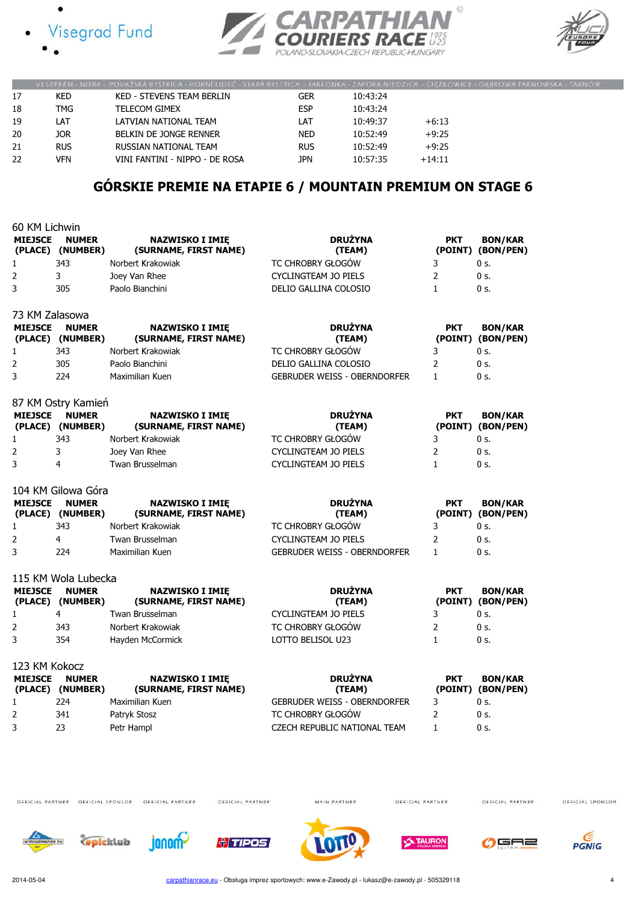





|    |            | VESZPRÉM - NITRA - POVAŽSKÁ BYSTRICA - HORNÍ LIDEČ - STARÁ BYSTRICA - JABŁONKA - ZAPORA NIEDZICA - CIĘŻKOWICE - DABROWA TARNOWSKA - TARNÓW |            |          |          |  |
|----|------------|--------------------------------------------------------------------------------------------------------------------------------------------|------------|----------|----------|--|
|    | KED.       | KED - STEVENS TEAM BERLIN                                                                                                                  | GER        | 10:43:24 |          |  |
| 18 | <b>TMG</b> | <b>TELECOM GIMEX</b>                                                                                                                       | <b>ESP</b> | 10:43:24 |          |  |
| 19 | LAT        | LATVIAN NATIONAL TEAM                                                                                                                      | LAT        | 10:49:37 | $+6:13$  |  |
| 20 | JOR.       | BELKIN DE JONGE RENNER                                                                                                                     | <b>NED</b> | 10:52:49 | $+9:25$  |  |
| 21 | <b>RUS</b> | RUSSIAN NATIONAL TEAM                                                                                                                      | <b>RUS</b> | 10:52:49 | $+9:25$  |  |
| 22 | VFN        | VINI FANTINI - NIPPO - DE ROSA                                                                                                             | JPN        | 10:57:35 | $+14:11$ |  |

## GÓRSKIE PREMIE NA ETAPIE 6 / MOUNTAIN PREMIUM ON STAGE 6

| 60 KM Lichwin  |                                  |                                                 |                                     |                |                                     |
|----------------|----------------------------------|-------------------------------------------------|-------------------------------------|----------------|-------------------------------------|
| <b>MIEJSCE</b> | <b>NUMER</b><br>(PLACE) (NUMBER) | <b>NAZWISKO I IMIE</b><br>(SURNAME, FIRST NAME) | <b>DRUŻYNA</b><br>(TEAM)            | <b>PKT</b>     | <b>BON/KAR</b><br>(POINT) (BON/PEN) |
| $\mathbf{1}$   | 343                              | Norbert Krakowiak                               | TC CHROBRY GŁOGÓW                   | 3              | $0s$ .                              |
| $\overline{2}$ | 3                                | Joey Van Rhee                                   | <b>CYCLINGTEAM JO PIELS</b>         | $\overline{2}$ | $0s$ .                              |
| 3              | 305                              | Paolo Bianchini                                 | DELIO GALLINA COLOSIO               | $\mathbf{1}$   | 0 s.                                |
| 73 KM Zalasowa |                                  |                                                 |                                     |                |                                     |
| <b>MIEJSCE</b> | <b>NUMER</b><br>(PLACE) (NUMBER) | <b>NAZWISKO I IMIĘ</b><br>(SURNAME, FIRST NAME) | <b>DRUŻYNA</b><br>(TEAM)            | <b>PKT</b>     | <b>BON/KAR</b><br>(POINT) (BON/PEN) |
| 1              | 343                              | Norbert Krakowiak                               | TC CHROBRY GŁOGÓW                   | 3              | $0s$ .                              |
| $\overline{2}$ | 305                              | Paolo Bianchini                                 | DELIO GALLINA COLOSIO               | 2              | 0 s.                                |
| 3              | 224                              | Maximilian Kuen                                 | <b>GEBRUDER WEISS - OBERNDORFER</b> | $\mathbf{1}$   | 0 s.                                |
|                | 87 KM Ostry Kamień               |                                                 |                                     |                |                                     |
| <b>MIEJSCE</b> | <b>NUMER</b><br>(PLACE) (NUMBER) | <b>NAZWISKO I IMIE</b><br>(SURNAME, FIRST NAME) | <b>DRUŻYNA</b><br>(TEAM)            | <b>PKT</b>     | <b>BON/KAR</b><br>(POINT) (BON/PEN) |
| 1              | 343                              | Norbert Krakowiak                               | TC CHROBRY GŁOGÓW                   | 3              | 0 s.                                |
| $\overline{2}$ | 3                                | Joey Van Rhee                                   | <b>CYCLINGTEAM JO PIELS</b>         | 2              | 0 s.                                |
| 3              | 4                                | Twan Brusselman                                 | <b>CYCLINGTEAM JO PIELS</b>         | $\mathbf{1}$   | 0 s.                                |
|                | 104 KM Gilowa Góra               |                                                 |                                     |                |                                     |
| <b>MIEJSCE</b> | <b>NUMER</b><br>(PLACE) (NUMBER) | <b>NAZWISKO I IMIĘ</b><br>(SURNAME, FIRST NAME) | <b>DRUŻYNA</b><br>(TEAM)            | <b>PKT</b>     | <b>BON/KAR</b><br>(POINT) (BON/PEN) |
| $\mathbf{1}$   | 343                              | Norbert Krakowiak                               | TC CHROBRY GŁOGÓW                   | 3              | 0 s.                                |
| 2              | $\overline{4}$                   | Twan Brusselman                                 | <b>CYCLINGTEAM JO PIELS</b>         | 2              | 0 s.                                |
| 3              | 224                              | Maximilian Kuen                                 | <b>GEBRUDER WEISS - OBERNDORFER</b> | $\mathbf{1}$   | 0 s.                                |
|                | 115 KM Wola Lubecka              |                                                 |                                     |                |                                     |
| <b>MIEJSCE</b> | <b>NUMER</b><br>(PLACE) (NUMBER) | <b>NAZWISKO I IMIE</b><br>(SURNAME, FIRST NAME) | <b>DRUŻYNA</b><br>(TEAM)            | <b>PKT</b>     | <b>BON/KAR</b><br>(POINT) (BON/PEN) |
| 1              | $\overline{4}$                   | Twan Brusselman                                 | <b>CYCLINGTEAM JO PIELS</b>         | 3              | 0 s.                                |
| $\overline{2}$ | 343                              | Norbert Krakowiak                               | TC CHROBRY GŁOGÓW                   | $\overline{2}$ | 0 s.                                |
| 3              | 354                              | Hayden McCormick                                | LOTTO BELISOL U23                   | 1              | $0s$ .                              |
| 123 KM Kokocz  |                                  |                                                 |                                     |                |                                     |
| <b>MIEJSCE</b> | <b>NUMER</b><br>(PLACE) (NUMBER) | <b>NAZWISKO I IMIE</b><br>(SURNAME, FIRST NAME) | <b>DRUŻYNA</b><br>(TEAM)            | <b>PKT</b>     | <b>BON/KAR</b><br>(POINT) (BON/PEN) |
| 1              | 224                              | Maximilian Kuen                                 | <b>GEBRUDER WEISS - OBERNDORFER</b> | 3              | 0 s.                                |
| 2              | 341                              | Patryk Stosz                                    | TC CHROBRY GŁOGÓW                   | $\overline{2}$ | $0s$ .                              |
| 3              | 23                               | Petr Hampl                                      | CZECH REPUBLIC NATIONAL TEAM        | 1              | 0 s.                                |

OFFICIAL PARTNER OFFICIAL SPONSOR OFFICIAL PARTNER

OFFICIAL PARTNER

MAIN PARTNER

OFFICIAL PARTNER

OFFICIAL PARTNER













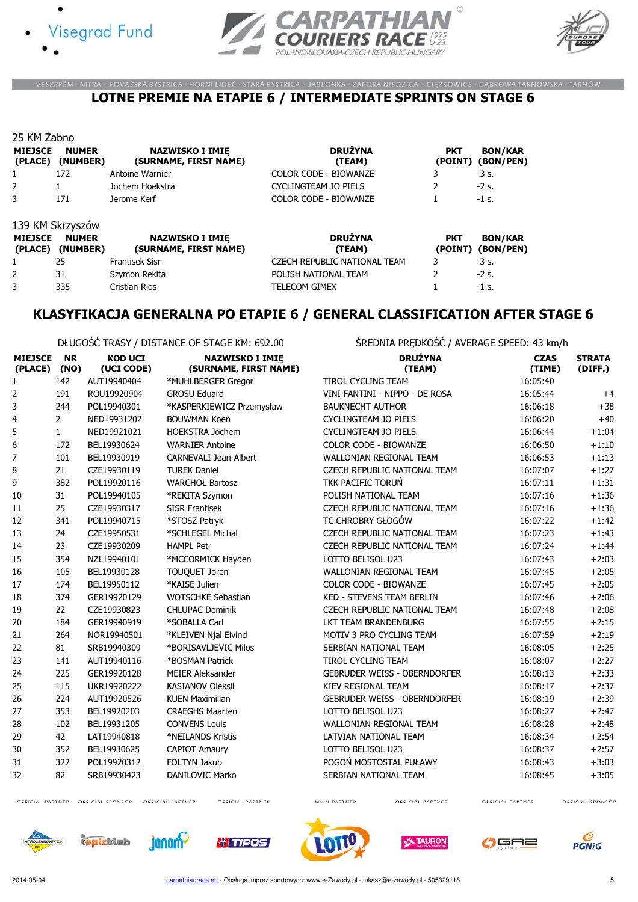





#### VESZPRÉM - NITRA - POVAŽSKÁ BYSTRICA - HORNÍ LIDEČ - STARÁ BYSTRICA - JABŁONKA - ZAPORA NIEDZICA - CIĘŻKOWICE - DĄBROWA TARNOWSKA - TARNÓW LOTNE PREMIE NA ETAPIE 6 / INTERMEDIATE SPRINTS ON STAGE 6

| 25 KM Zabno                       |                                                              |                                                 |                                               |                 |                                           |
|-----------------------------------|--------------------------------------------------------------|-------------------------------------------------|-----------------------------------------------|-----------------|-------------------------------------------|
| <b>MIEJSCE</b><br>(PLACE)         | <b>NUMER</b><br>(NUMBER)                                     | <b>NAZWISKO I IMIE</b><br>(SURNAME, FIRST NAME) | <b>DRUŻYNA</b><br>(TEAM)                      | <b>PKT</b>      | <b>BON/KAR</b><br>(POINT) (BON/PEN)       |
|                                   | 172                                                          | Antoine Warnier                                 | <b>COLOR CODE - BIOWANZE</b>                  |                 | $-3$ s.                                   |
| 2                                 |                                                              | Jochem Hoekstra                                 | CYCLINGTEAM JO PIELS                          |                 | $-2$ s.                                   |
| 3                                 | 171                                                          | Jerome Kerf                                     | COLOR CODE - BIOWANZE                         |                 | $-1$ s.                                   |
| <b>MIEJSCE</b><br>$\sqrt{N}$ acry | 139 KM Skrzyszów<br><b>NUMER</b><br><b><i>INILIMBERS</i></b> | <b>NAZWISKO I IMIE</b><br>CURBIANT FIRCT BLANES | <b>DRUŻYNA</b><br>$T$ $T$ $R$ $R$ $R$ $R$ $R$ | <b>PKT</b><br>T | <b>BON/KAR</b><br>$T$ $N$ $N$ $T$ $N$ $N$ |

| <b>MIEJSCE</b> | <b>NUMER</b><br>(PLACE) (NUMBER) | <b>NAZWISKO I IMIE</b><br>(SURNAME, FIRST NAME) | <b>DRUŻYNA</b><br>(TEAM)     | <b>PKT</b> | <b>BON/KAR</b><br>(POINT) (BON/PEN) |
|----------------|----------------------------------|-------------------------------------------------|------------------------------|------------|-------------------------------------|
|                | 25                               | <b>Frantisek Sisr</b>                           | CZECH REPUBLIC NATIONAL TEAM |            | $-3$ s.                             |
|                | 31                               | Szymon Rekita                                   | POLISH NATIONAL TEAM         |            | $-2$ s.                             |
|                | 335                              | Cristian Rios                                   | <b>TELECOM GIMEX</b>         |            | $-1$ s.                             |

### KLASYFIKACJA GENERALNA PO ETAPIE 6 / GENERAL CLASSIFICATION AFTER STAGE 6

DŁUGOŚĆ TRASY / DISTANCE OF STAGE KM: 692.00 ŚREDNIA PRĘDKOŚĆ / AVERAGE SPEED: 43 km/h

| <b>MIEJSCE</b><br>(PLACE) (NO) | <b>NR</b>      | <b>KOD UCI</b><br>(UCI CODE) | <b>NAZWISKO I IMIE</b><br>(SURNAME, FIRST NAME) | <b>DRUŻYNA</b><br>(TEAM)            | <b>CZAS</b><br>(TIME) | <b>STRATA</b><br>(DIFF.) |
|--------------------------------|----------------|------------------------------|-------------------------------------------------|-------------------------------------|-----------------------|--------------------------|
| 1                              | 142            | AUT19940404                  | *MUHLBERGER Gregor                              | <b>TIROL CYCLING TEAM</b>           | 16:05:40              |                          |
| 2                              | 191            | ROU19920904                  | <b>GROSU Eduard</b>                             | VINI FANTINI - NIPPO - DE ROSA      | 16:05:44              | $+4$                     |
| 3                              | 244            | POL19940301                  | *KASPERKIEWICZ Przemysław                       | <b>BAUKNECHT AUTHOR</b>             | 16:06:18              | $+38$                    |
| 4                              | $\overline{2}$ | NED19931202                  | <b>BOUWMAN Koen</b>                             | <b>CYCLINGTEAM JO PIELS</b>         | 16:06:20              | $+40$                    |
| 5                              | $\mathbf{1}$   | NED19921021                  | <b>HOEKSTRA Jochem</b>                          | <b>CYCLINGTEAM JO PIELS</b>         | 16:06:44              | $+1:04$                  |
| 6                              | 172            | BEL19930624                  | <b>WARNIER Antoine</b>                          | <b>COLOR CODE - BIOWANZE</b>        | 16:06:50              | $+1:10$                  |
| 7                              | 101            | BEL19930919                  | <b>CARNEVALI Jean-Albert</b>                    | WALLONIAN REGIONAL TEAM             | 16:06:53              | $+1:13$                  |
| 8                              | 21             | CZE19930119                  | <b>TUREK Daniel</b>                             | <b>CZECH REPUBLIC NATIONAL TEAM</b> | 16:07:07              | $+1:27$                  |
| 9                              | 382            | POL19920116                  | <b>WARCHOŁ Bartosz</b>                          | <b>TKK PACIFIC TORUŃ</b>            | 16:07:11              | $+1:31$                  |
| 10                             | 31             | POL19940105                  | *REKITA Szymon                                  | POLISH NATIONAL TEAM                | 16:07:16              | $+1:36$                  |
| 11                             | 25             | CZE19930317                  | <b>SISR Frantisek</b>                           | CZECH REPUBLIC NATIONAL TEAM        | 16:07:16              | $+1:36$                  |
| 12                             | 341            | POL19940715                  | *STOSZ Patryk                                   | TC CHROBRY GŁOGÓW                   | 16:07:22              | $+1:42$                  |
| 13                             | 24             | CZE19950531                  | *SCHLEGEL Michal                                | CZECH REPUBLIC NATIONAL TEAM        | 16:07:23              | $+1:43$                  |
| 14                             | 23             | CZE19930209                  | <b>HAMPL Petr</b>                               | CZECH REPUBLIC NATIONAL TEAM        | 16:07:24              | $+1:44$                  |
| 15                             | 354            | NZL19940101                  | *MCCORMICK Hayden                               | LOTTO BELISOL U23                   | 16:07:43              | $+2:03$                  |
| 16                             | 105            | BEL19930128                  | <b>TOUQUET Joren</b>                            | <b>WALLONIAN REGIONAL TEAM</b>      | 16:07:45              | $+2:05$                  |
| 17                             | 174            | BEL19950112                  | *KAISE Julien                                   | <b>COLOR CODE - BIOWANZE</b>        | 16:07:45              | $+2:05$                  |
| 18                             | 374            | GER19920129                  | <b>WOTSCHKE Sebastian</b>                       | KED - STEVENS TEAM BERLIN           | 16:07:46              | $+2:06$                  |
| 19                             | 22             | CZE19930823                  | <b>CHLUPAC Dominik</b>                          | CZECH REPUBLIC NATIONAL TEAM        | 16:07:48              | $+2:08$                  |
| 20                             | 184            | GER19940919                  | *SOBALLA Carl                                   | <b>LKT TEAM BRANDENBURG</b>         | 16:07:55              | $+2:15$                  |
| 21                             | 264            | NOR19940501                  | *KLEIVEN Njal Eivind                            | MOTIV 3 PRO CYCLING TEAM            | 16:07:59              | $+2:19$                  |
| 22                             | 81             | SRB19940309                  | *BORISAVLJEVIC Milos                            | SERBIAN NATIONAL TEAM               | 16:08:05              | $+2:25$                  |
| 23                             | 141            | AUT19940116                  | *BOSMAN Patrick                                 | TIROL CYCLING TEAM                  | 16:08:07              | $+2:27$                  |
| 24                             | 225            | GER19920128                  | <b>MEIER Aleksander</b>                         | <b>GEBRUDER WEISS - OBERNDORFER</b> | 16:08:13              | $+2:33$                  |
| 25                             | 115            | UKR19920222                  | <b>KASIANOV Oleksii</b>                         | KIEV REGIONAL TEAM                  | 16:08:17              | $+2:37$                  |
| 26                             | 224            | AUT19920526                  | <b>KUEN Maximilian</b>                          | <b>GEBRUDER WEISS - OBERNDORFER</b> | 16:08:19              | $+2:39$                  |
| 27                             | 353            | BEL19920203                  | <b>CRAEGHS Maarten</b>                          | LOTTO BELISOL U23                   | 16:08:27              | $+2:47$                  |
| 28                             | 102            | BEL19931205                  | <b>CONVENS Louis</b>                            | WALLONIAN REGIONAL TEAM             | 16:08:28              | $+2:48$                  |
| 29                             | 42             | LAT19940818                  | *NEILANDS Kristis                               | LATVIAN NATIONAL TEAM               | 16:08:34              | $+2:54$                  |
| 30                             | 352            | BEL19930625                  | <b>CAPIOT Amaury</b>                            | LOTTO BELISOL U23                   | 16:08:37              | $+2:57$                  |
| 31                             | 322            | POL19920312                  | <b>FOLTYN Jakub</b>                             | POGOŃ MOSTOSTAL PUŁAWY              | 16:08:43              | $+3:03$                  |
| 32                             | 82             | SRB19930423                  | DANILOVIC Marko                                 | SERBIAN NATIONAL TEAM               | 16:08:45              | $+3:05$                  |

OFFICIAL PARTNER OFFICIAL SPONSOR OFFICIAL PARTNER

OFFICIAL PARTNER

**Al TIPOS** 

MAIN PARTNER

OFFICIAL PARTNER

OFFICIAL PARTNER













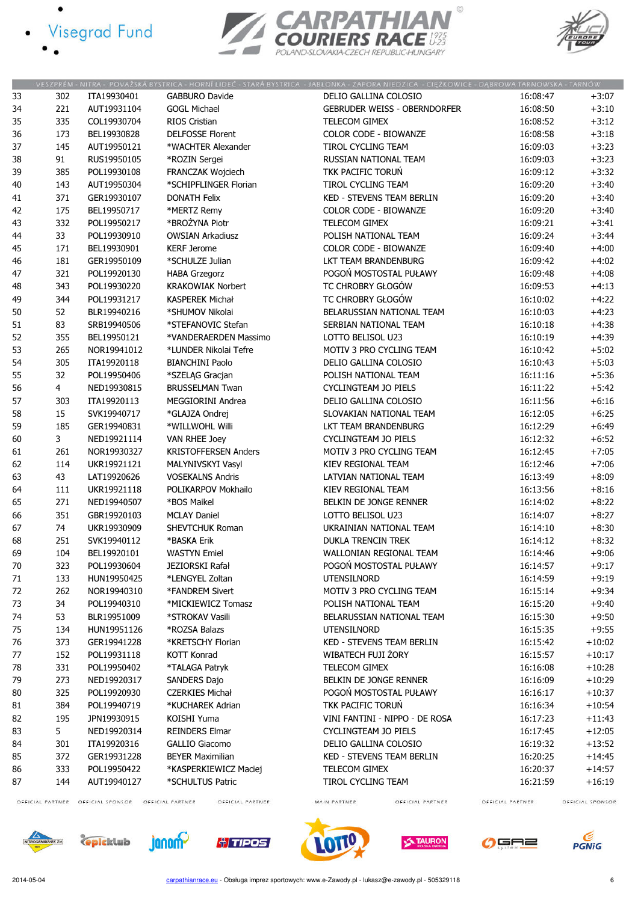- · Visegrad Fund
	-

 $\bullet$ 





|    |                  |                  |                             |                       |                           | VESZPRÉM - NITRA - POVAŽSKÁ BYSTRICA - HORNÍ LIDEČ - STARÁ BYSTRICA - JABŁONKA - ZAPORA NIEDZICA - CIĘŻKOWICE - DĄBROWA TARNOWSKA - TARNÓW |                  |                  |
|----|------------------|------------------|-----------------------------|-----------------------|---------------------------|--------------------------------------------------------------------------------------------------------------------------------------------|------------------|------------------|
| 33 | 302              | ITA19930401      | <b>GABBURO Davide</b>       |                       |                           | DELIO GALLINA COLOSIO                                                                                                                      | 16:08:47         | $+3:07$          |
| 34 | 221              | AUT19931104      | <b>GOGL Michael</b>         |                       |                           | <b>GEBRUDER WEISS - OBERNDORFER</b>                                                                                                        | 16:08:50         | $+3:10$          |
| 35 | 335              | COL19930704      | RIOS Cristian               |                       | TELECOM GIMEX             |                                                                                                                                            | 16:08:52         | $+3:12$          |
| 36 | 173              | BEL19930828      | <b>DELFOSSE Florent</b>     |                       |                           | COLOR CODE - BIOWANZE                                                                                                                      | 16:08:58         | $+3:18$          |
| 37 | 145              | AUT19950121      | *WACHTER Alexander          |                       | TIROL CYCLING TEAM        |                                                                                                                                            | 16:09:03         | $+3:23$          |
| 38 | 91               | RUS19950105      | *ROZIN Sergei               |                       |                           | RUSSIAN NATIONAL TEAM                                                                                                                      | 16:09:03         | $+3:23$          |
| 39 | 385              | POL19930108      | FRANCZAK Wojciech           |                       | TKK PACIFIC TORUŃ         |                                                                                                                                            | 16:09:12         | $+3:32$          |
|    |                  | AUT19950304      | *SCHIPFLINGER Florian       |                       | <b>TIROL CYCLING TEAM</b> |                                                                                                                                            | 16:09:20         | $+3:40$          |
| 40 | 143<br>371       |                  | <b>DONATH Felix</b>         |                       |                           | <b>KED - STEVENS TEAM BERLIN</b>                                                                                                           | 16:09:20         | $+3:40$          |
| 41 |                  | GER19930107      |                             |                       |                           |                                                                                                                                            |                  |                  |
| 42 | 175              | BEL19950717      | *MERTZ Remy                 |                       |                           | <b>COLOR CODE - BIOWANZE</b>                                                                                                               | 16:09:20         | $+3:40$          |
| 43 | 332              | POL19950217      | *BROŻYNA Piotr              |                       | TELECOM GIMEX             |                                                                                                                                            | 16:09:21         | $+3:41$          |
| 44 | 33               | POL19930910      | <b>OWSIAN Arkadiusz</b>     |                       |                           | POLISH NATIONAL TEAM                                                                                                                       | 16:09:24         | $+3:44$          |
| 45 | 171              | BEL19930901      | <b>KERF Jerome</b>          |                       |                           | COLOR CODE - BIOWANZE                                                                                                                      | 16:09:40         | $+4:00$          |
| 46 | 181              | GER19950109      | *SCHULZE Julian             |                       |                           | LKT TEAM BRANDENBURG                                                                                                                       | 16:09:42         | $+4:02$          |
| 47 | 321              | POL19920130      | <b>HABA Grzegorz</b>        |                       |                           | POGOŃ MOSTOSTAL PUŁAWY                                                                                                                     | 16:09:48         | $+4:08$          |
| 48 | 343              | POL19930220      | <b>KRAKOWIAK Norbert</b>    |                       |                           | TC CHROBRY GŁOGÓW                                                                                                                          | 16:09:53         | $+4:13$          |
| 49 | 344              | POL19931217      | <b>KASPEREK Michał</b>      |                       |                           | TC CHROBRY GŁOGÓW                                                                                                                          | 16:10:02         | $+4:22$          |
| 50 | 52               | BLR19940216      | *SHUMOV Nikolai             |                       |                           | BELARUSSIAN NATIONAL TEAM                                                                                                                  | 16:10:03         | $+4:23$          |
| 51 | 83               | SRB19940506      | *STEFANOVIC Stefan          |                       |                           | SERBIAN NATIONAL TEAM                                                                                                                      | 16:10:18         | $+4:38$          |
| 52 | 355              | BEL19950121      |                             | *VANDERAERDEN Massimo | LOTTO BELISOL U23         |                                                                                                                                            | 16:10:19         | $+4:39$          |
| 53 | 265              | NOR19941012      | *LUNDER Nikolai Tefre       |                       |                           | MOTIV 3 PRO CYCLING TEAM                                                                                                                   | 16:10:42         | $+5:02$          |
| 54 | 305              | ITA19920118      | <b>BIANCHINI Paolo</b>      |                       |                           | DELIO GALLINA COLOSIO                                                                                                                      | 16:10:43         | $+5:03$          |
| 55 | 32               | POL19950406      | *SZELĄG Gracjan             |                       |                           | POLISH NATIONAL TEAM                                                                                                                       | 16:11:16         | $+5:36$          |
| 56 | 4                | NED19930815      | <b>BRUSSELMAN Twan</b>      |                       |                           | CYCLINGTEAM JO PIELS                                                                                                                       | 16:11:22         | $+5:42$          |
| 57 | 303              | ITA19920113      | MEGGIORINI Andrea           |                       |                           | DELIO GALLINA COLOSIO                                                                                                                      | 16:11:56         | $+6:16$          |
| 58 | 15               | SVK19940717      | *GLAJZA Ondrej              |                       |                           | SLOVAKIAN NATIONAL TEAM                                                                                                                    | 16:12:05         | $+6:25$          |
| 59 | 185              | GER19940831      | *WILLWOHL Willi             |                       |                           | LKT TEAM BRANDENBURG                                                                                                                       | 16:12:29         | $+6:49$          |
| 60 | 3                | NED19921114      | <b>VAN RHEE Joey</b>        |                       |                           | <b>CYCLINGTEAM JO PIELS</b>                                                                                                                | 16:12:32         | $+6:52$          |
| 61 | 261              | NOR19930327      | <b>KRISTOFFERSEN Anders</b> |                       |                           | MOTIV 3 PRO CYCLING TEAM                                                                                                                   | 16:12:45         | $+7:05$          |
| 62 | 114              | UKR19921121      | MALYNIVSKYI Vasyl           |                       | KIEV REGIONAL TEAM        |                                                                                                                                            | 16:12:46         | $+7:06$          |
| 63 | 43               | LAT19920626      | <b>VOSEKALNS Andris</b>     |                       |                           | LATVIAN NATIONAL TEAM                                                                                                                      | 16:13:49         | $+8:09$          |
| 64 | 111              | UKR19921118      | POLIKARPOV Mokhailo         |                       | KIEV REGIONAL TEAM        |                                                                                                                                            | 16:13:56         | $+8:16$          |
| 65 | 271              | NED19940507      | *BOS Maikel                 |                       |                           | BELKIN DE JONGE RENNER                                                                                                                     | 16:14:02         | $+8:22$          |
| 66 | 351              | GBR19920103      | <b>MCLAY Daniel</b>         |                       | LOTTO BELISOL U23         |                                                                                                                                            | 16:14:07         | $+8:27$          |
| 67 | 74               | UKR19930909      | SHEVTCHUK Roman             |                       |                           | UKRAINIAN NATIONAL TEAM                                                                                                                    | 16:14:10         | $+8:30$          |
| 68 | 251              | SVK19940112      | *BASKA Erik                 |                       | <b>DUKLA TRENCIN TREK</b> |                                                                                                                                            | 16:14:12         | $+8:32$          |
| 69 | 104              |                  | <b>WASTYN Emiel</b>         |                       |                           |                                                                                                                                            |                  |                  |
|    |                  | BEL19920101      |                             |                       |                           | WALLONIAN REGIONAL TEAM                                                                                                                    | 16:14:46         | $+9:06$          |
| 70 | 323              | POL19930604      | JEZIORSKI Rafał             |                       |                           | POGOŃ MOSTOSTAL PUŁAWY                                                                                                                     | 16:14:57         | $+9:17$          |
| 71 | 133              | HUN19950425      | *LENGYEL Zoltan             |                       | <b>UTENSILNORD</b>        |                                                                                                                                            | 16:14:59         | $+9:19$          |
| 72 | 262              | NOR19940310      | *FANDREM Sivert             |                       |                           | MOTIV 3 PRO CYCLING TEAM                                                                                                                   | 16:15:14         | $+9:34$          |
| 73 | 34               | POL19940310      | *MICKIEWICZ Tomasz          |                       |                           | POLISH NATIONAL TEAM                                                                                                                       | 16:15:20         | $+9:40$          |
| 74 | 53               | BLR19951009      | *STROKAV Vasili             |                       |                           | BELARUSSIAN NATIONAL TEAM                                                                                                                  | 16:15:30         | $+9:50$          |
| 75 | 134              | HUN19951126      | *ROZSA Balazs               |                       | <b>UTENSILNORD</b>        |                                                                                                                                            | 16:15:35         | $+9:55$          |
| 76 | 373              | GER19941228      | *KRETSCHY Florian           |                       |                           | <b>KED - STEVENS TEAM BERLIN</b>                                                                                                           | 16:15:42         | $+10:02$         |
| 77 | 152              | POL19931118      | <b>KOTT Konrad</b>          |                       | WIBATECH FUJI ŻORY        |                                                                                                                                            | 16:15:57         | $+10:17$         |
| 78 | 331              | POL19950402      | *TALAGA Patryk              |                       | TELECOM GIMEX             |                                                                                                                                            | 16:16:08         | $+10:28$         |
| 79 | 273              | NED19920317      | SANDERS Dajo                |                       |                           | BELKIN DE JONGE RENNER                                                                                                                     | 16:16:09         | $+10:29$         |
| 80 | 325              | POL19920930      | <b>CZERKIES Michał</b>      |                       |                           | POGOŃ MOSTOSTAL PUŁAWY                                                                                                                     | 16:16:17         | $+10:37$         |
| 81 | 384              | POL19940719      | *KUCHAREK Adrian            |                       | TKK PACIFIC TORUN         |                                                                                                                                            | 16:16:34         | $+10:54$         |
| 82 | 195              | JPN19930915      | KOISHI Yuma                 |                       |                           | VINI FANTINI - NIPPO - DE ROSA                                                                                                             | 16:17:23         | $+11:43$         |
| 83 | 5                | NED19920314      | <b>REINDERS Elmar</b>       |                       |                           | CYCLINGTEAM JO PIELS                                                                                                                       | 16:17:45         | $+12:05$         |
| 84 | 301              | ITA19920316      | <b>GALLIO Giacomo</b>       |                       |                           | DELIO GALLINA COLOSIO                                                                                                                      | 16:19:32         | $+13:52$         |
| 85 | 372              | GER19931228      | <b>BEYER Maximilian</b>     |                       |                           | <b>KED - STEVENS TEAM BERLIN</b>                                                                                                           | 16:20:25         | $+14:45$         |
| 86 | 333              | POL19950422      | *KASPERKIEWICZ Maciej       |                       | TELECOM GIMEX             |                                                                                                                                            | 16:20:37         | $+14:57$         |
| 87 | 144              | AUT19940127      | *SCHULTUS Patric            |                       | TIROL CYCLING TEAM        |                                                                                                                                            | 16:21:59         | $+16:19$         |
|    | OFFICIAL PARTNER | OFFICIAL SPONSOR | OFFICIAL PARTNER            | OFFICIAL PARTNER      | MAIN PARTNER              | OFFICIAL PARTNER                                                                                                                           | OFFICIAL PARTNER | OFFICIAL SPONSOR |
|    |                  |                  |                             |                       |                           |                                                                                                                                            |                  |                  |

OFFICIAL PARTNER OFFICIAL SPONSOR OFFICIAL PARTNER

OFFICIAL PARTNER













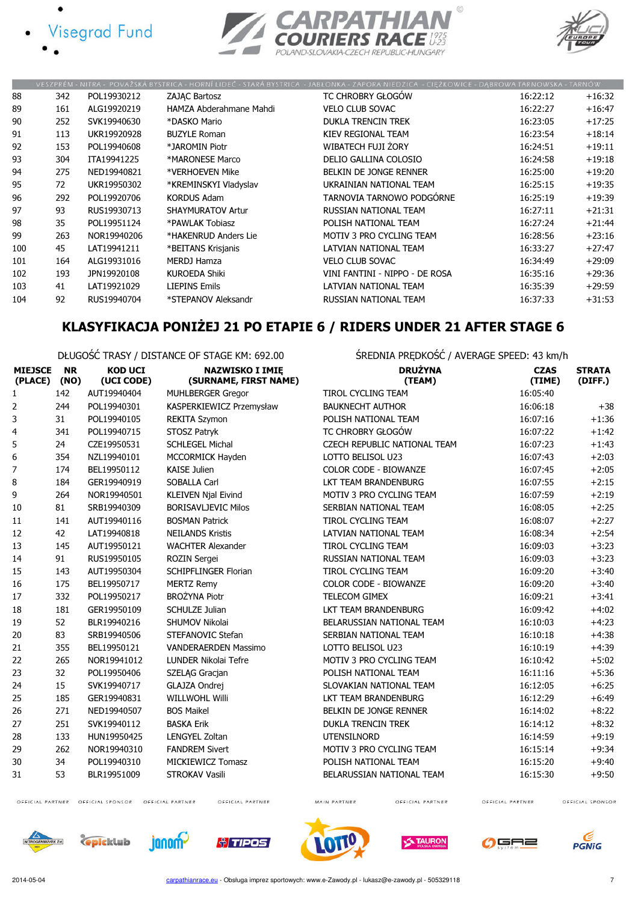







|     |     |             |                          | VESZPRÉM - NITRA - POVAŽSKÁ BYSTRICA - HORNÍ LIDEČ - STARÁ BYSTRICA - JABŁONKA - ZAPORA NIEDZICA - CIĘŻKOWICE - DĄBROWA TARNOWSKA - TARNÓW |          |          |
|-----|-----|-------------|--------------------------|--------------------------------------------------------------------------------------------------------------------------------------------|----------|----------|
| 88  | 342 | POL19930212 | ZAJAC Bartosz            | TC CHROBRY GŁOGÓW                                                                                                                          | 16:22:12 | $+16:32$ |
| 89  | 161 | ALG19920219 | HAMZA Abderahmane Mahdi  | <b>VELO CLUB SOVAC</b>                                                                                                                     | 16:22:27 | $+16:47$ |
| 90  | 252 | SVK19940630 | *DASKO Mario             | <b>DUKLA TRENCIN TREK</b>                                                                                                                  | 16:23:05 | $+17:25$ |
| 91  | 113 | UKR19920928 | <b>BUZYLE Roman</b>      | KIEV REGIONAL TEAM                                                                                                                         | 16:23:54 | $+18:14$ |
| 92  | 153 | POL19940608 | *JAROMIN Piotr           | WIBATECH FUJI ŻORY                                                                                                                         | 16:24:51 | $+19:11$ |
| 93  | 304 | ITA19941225 | *MARONESE Marco          | DELIO GALLINA COLOSIO                                                                                                                      | 16:24:58 | $+19:18$ |
| 94  | 275 | NED19940821 | *VERHOEVEN Mike          | BELKIN DE JONGE RENNER                                                                                                                     | 16:25:00 | $+19:20$ |
| 95  | 72  | UKR19950302 | *KREMINSKYI Vladyslav    | UKRAINIAN NATIONAL TEAM                                                                                                                    | 16:25:15 | $+19:35$ |
| 96  | 292 | POL19920706 | <b>KORDUS Adam</b>       | TARNOVIA TARNOWO PODGÓRNE                                                                                                                  | 16:25:19 | $+19:39$ |
| 97  | 93  | RUS19930713 | <b>SHAYMURATOV Artur</b> | RUSSIAN NATIONAL TEAM                                                                                                                      | 16:27:11 | $+21:31$ |
| 98  | 35  | POL19951124 | *PAWLAK Tobiasz          | POLISH NATIONAL TEAM                                                                                                                       | 16:27:24 | $+21:44$ |
| 99  | 263 | NOR19940206 | *HAKENRUD Anders Lie     | MOTIV 3 PRO CYCLING TEAM                                                                                                                   | 16:28:56 | $+23:16$ |
| 100 | 45  | LAT19941211 | *BEITANS Krisjanis       | LATVIAN NATIONAL TEAM                                                                                                                      | 16:33:27 | $+27:47$ |
| 101 | 164 | ALG19931016 | <b>MERDJ Hamza</b>       | <b>VELO CLUB SOVAC</b>                                                                                                                     | 16:34:49 | $+29:09$ |
| 102 | 193 | JPN19920108 | <b>KUROEDA Shiki</b>     | VINI FANTINI - NIPPO - DE ROSA                                                                                                             | 16:35:16 | $+29:36$ |
| 103 | 41  | LAT19921029 | <b>LIEPINS Emils</b>     | LATVIAN NATIONAL TEAM                                                                                                                      | 16:35:39 | $+29:59$ |
| 104 | 92  | RUS19940704 | *STEPANOV Aleksandr      | RUSSIAN NATIONAL TEAM                                                                                                                      | 16:37:33 | $+31:53$ |

### KLASYFIKACJA PONIŻEJ 21 PO ETAPIE 6 / RIDERS UNDER 21 AFTER STAGE 6

DŁUGOŚĆ TRASY / DISTANCE OF STAGE KM: 692.00 ŚREDNIA PRĘDKOŚĆ / AVERAGE SPEED: 43 km/h

| <b>MIEJSCE</b><br>(PLACE) | <b>NR</b><br>(NO) | <b>KOD UCI</b><br>(UCI CODE) | <b>NAZWISKO I IMIE</b><br>(SURNAME, FIRST NAME) | <b>DRUŻYNA</b><br>(TEAM)     | <b>CZAS</b><br>(TIME) | <b>STRATA</b><br>(DIFF.) |
|---------------------------|-------------------|------------------------------|-------------------------------------------------|------------------------------|-----------------------|--------------------------|
| 1                         | 142               | AUT19940404                  | <b>MUHLBERGER Gregor</b>                        | <b>TIROL CYCLING TEAM</b>    | 16:05:40              |                          |
| $\overline{2}$            | 244               | POL19940301                  | KASPERKIEWICZ Przemysław                        | <b>BAUKNECHT AUTHOR</b>      | 16:06:18              | $+38$                    |
| 3                         | 31                | POL19940105                  | <b>REKITA Szymon</b>                            | POLISH NATIONAL TEAM         | 16:07:16              | $+1:36$                  |
| 4                         | 341               | POL19940715                  | STOSZ Patryk                                    | TC CHROBRY GŁOGÓW            | 16:07:22              | $+1:42$                  |
| 5                         | 24                | CZE19950531                  | <b>SCHLEGEL Michal</b>                          | CZECH REPUBLIC NATIONAL TEAM | 16:07:23              | $+1:43$                  |
| 6                         | 354               | NZL19940101                  | MCCORMICK Hayden                                | LOTTO BELISOL U23            | 16:07:43              | $+2:03$                  |
| $\overline{7}$            | 174               | BEL19950112                  | <b>KAISE Julien</b>                             | <b>COLOR CODE - BIOWANZE</b> | 16:07:45              | $+2:05$                  |
| 8                         | 184               | GER19940919                  | <b>SOBALLA Carl</b>                             | LKT TEAM BRANDENBURG         | 16:07:55              | $+2:15$                  |
| 9                         | 264               | NOR19940501                  | <b>KLEIVEN Njal Eivind</b>                      | MOTIV 3 PRO CYCLING TEAM     | 16:07:59              | $+2:19$                  |
| 10                        | 81                | SRB19940309                  | <b>BORISAVLJEVIC Milos</b>                      | SERBIAN NATIONAL TEAM        | 16:08:05              | $+2:25$                  |
| 11                        | 141               | AUT19940116                  | <b>BOSMAN Patrick</b>                           | TIROL CYCLING TEAM           | 16:08:07              | $+2:27$                  |
| 12                        | 42                | LAT19940818                  | <b>NEILANDS Kristis</b>                         | LATVIAN NATIONAL TEAM        | 16:08:34              | $+2:54$                  |
| 13                        | 145               | AUT19950121                  | <b>WACHTER Alexander</b>                        | <b>TIROL CYCLING TEAM</b>    | 16:09:03              | $+3:23$                  |
| 14                        | 91                | RUS19950105                  | ROZIN Sergei                                    | <b>RUSSIAN NATIONAL TEAM</b> | 16:09:03              | $+3:23$                  |
| 15                        | 143               | AUT19950304                  | SCHIPFLINGER Florian                            | <b>TIROL CYCLING TEAM</b>    | 16:09:20              | $+3:40$                  |
| 16                        | 175               | BEL19950717                  | <b>MERTZ Remy</b>                               | <b>COLOR CODE - BIOWANZE</b> | 16:09:20              | $+3:40$                  |
| 17                        | 332               | POL19950217                  | <b>BROŻYNA Piotr</b>                            | TELECOM GIMEX                | 16:09:21              | $+3:41$                  |
| 18                        | 181               | GER19950109                  | SCHULZE Julian                                  | LKT TEAM BRANDENBURG         | 16:09:42              | $+4:02$                  |
| 19                        | 52                | BLR19940216                  | SHUMOV Nikolai                                  | BELARUSSIAN NATIONAL TEAM    | 16:10:03              | $+4:23$                  |
| 20                        | 83                | SRB19940506                  | STEFANOVIC Stefan                               | SERBIAN NATIONAL TEAM        | 16:10:18              | $+4:38$                  |
| 21                        | 355               | BEL19950121                  | VANDERAERDEN Massimo                            | LOTTO BELISOL U23            | 16:10:19              | $+4:39$                  |
| 22                        | 265               | NOR19941012                  | <b>LUNDER Nikolai Tefre</b>                     | MOTIV 3 PRO CYCLING TEAM     | 16:10:42              | $+5:02$                  |
| 23                        | 32                | POL19950406                  | <b>SZELAG Gracian</b>                           | POLISH NATIONAL TEAM         | 16:11:16              | $+5:36$                  |
| 24                        | 15                | SVK19940717                  | GLAJZA Ondrej                                   | SLOVAKIAN NATIONAL TEAM      | 16:12:05              | $+6:25$                  |
| 25                        | 185               | GER19940831                  | <b>WILLWOHL Willi</b>                           | LKT TEAM BRANDENBURG         | 16:12:29              | $+6:49$                  |
| 26                        | 271               | NED19940507                  | <b>BOS Maikel</b>                               | BELKIN DE JONGE RENNER       | 16:14:02              | $+8:22$                  |
| 27                        | 251               | SVK19940112                  | <b>BASKA Erik</b>                               | <b>DUKLA TRENCIN TREK</b>    | 16:14:12              | $+8:32$                  |
| 28                        | 133               | HUN19950425                  | <b>LENGYEL Zoltan</b>                           | <b>UTENSILNORD</b>           | 16:14:59              | $+9:19$                  |
| 29                        | 262               | NOR19940310                  | <b>FANDREM Sivert</b>                           | MOTIV 3 PRO CYCLING TEAM     | 16:15:14              | $+9:34$                  |
| 30                        | 34                | POL19940310                  | <b>MICKIEWICZ Tomasz</b>                        | POLISH NATIONAL TEAM         | 16:15:20              | $+9:40$                  |
| 31                        | 53                | BLR19951009                  | STROKAV Vasili                                  | BELARUSSIAN NATIONAL TEAM    | 16:15:30              | $+9:50$                  |

OFFICIAL PARTNER OFFICIAL SPONSOR OFFICIAL PARTNER

OFFICIAL PARTNER

MAIN PARTNER

OFFICIAL PARTNER

OFFICIAL PARTNER













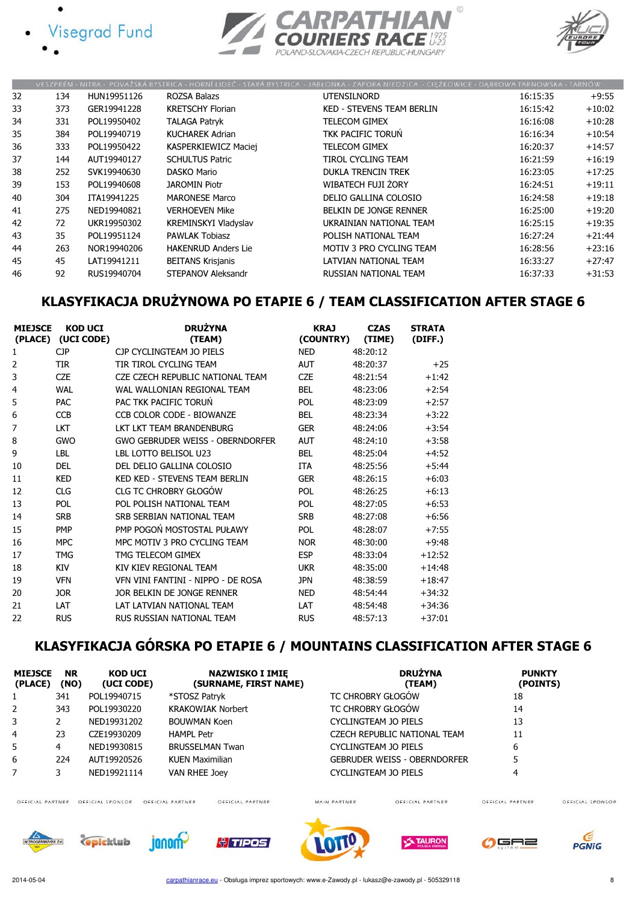







|    |     |             |                             | VESZPRÉM - NITRA - POVAŽSKÁ BYSTRICA - HORNÍ LIDEČ - STARÁ BYSTRICA - JABŁONKA - ZAPORA NIEDZICA - CIEŻKOWICE - DABROWA TARNOWSKA - TARNÓW |          |          |
|----|-----|-------------|-----------------------------|--------------------------------------------------------------------------------------------------------------------------------------------|----------|----------|
| 32 | 134 | HUN19951126 | ROZSA Balazs                | UTENSILNORD                                                                                                                                | 16:15:35 | $+9:55$  |
| 33 | 373 | GER19941228 | <b>KRETSCHY Florian</b>     | <b>KED - STEVENS TEAM BERLIN</b>                                                                                                           | 16:15:42 | $+10:02$ |
| 34 | 331 | POL19950402 | <b>TALAGA Patryk</b>        | <b>TELECOM GIMEX</b>                                                                                                                       | 16:16:08 | $+10:28$ |
| 35 | 384 | POL19940719 | <b>KUCHAREK Adrian</b>      | TKK PACIFIC TORUN                                                                                                                          | 16:16:34 | $+10:54$ |
| 36 | 333 | POL19950422 | KASPERKIEWICZ Maciej        | <b>TELECOM GIMEX</b>                                                                                                                       | 16:20:37 | $+14:57$ |
| 37 | 144 | AUT19940127 | <b>SCHULTUS Patric</b>      | TIROL CYCLING TEAM                                                                                                                         | 16:21:59 | $+16:19$ |
| 38 | 252 | SVK19940630 | <b>DASKO Mario</b>          | <b>DUKLA TRENCIN TREK</b>                                                                                                                  | 16:23:05 | $+17:25$ |
| 39 | 153 | POL19940608 | <b>JAROMIN Piotr</b>        | WIBATECH FUJI ŻORY                                                                                                                         | 16:24:51 | $+19:11$ |
| 40 | 304 | ITA19941225 | <b>MARONESE Marco</b>       | DELIO GALLINA COLOSIO                                                                                                                      | 16:24:58 | $+19:18$ |
| 41 | 275 | NED19940821 | <b>VERHOEVEN Mike</b>       | BELKIN DE JONGE RENNER                                                                                                                     | 16:25:00 | $+19:20$ |
| 42 | 72  | UKR19950302 | <b>KREMINSKYI Vladyslav</b> | UKRAINIAN NATIONAL TEAM                                                                                                                    | 16:25:15 | $+19:35$ |
| 43 | 35  | POL19951124 | <b>PAWLAK Tobiasz</b>       | POLISH NATIONAL TEAM                                                                                                                       | 16:27:24 | $+21:44$ |
| 44 | 263 | NOR19940206 | <b>HAKENRUD Anders Lie</b>  | <b>MOTIV 3 PRO CYCLING TEAM</b>                                                                                                            | 16:28:56 | $+23:16$ |
| 45 | 45  | LAT19941211 | <b>BEITANS Krisjanis</b>    | LATVIAN NATIONAL TEAM                                                                                                                      | 16:33:27 | $+27:47$ |
| 46 | 92  | RUS19940704 | STEPANOV Aleksandr          | RUSSIAN NATIONAL TEAM                                                                                                                      | 16:37:33 | $+31:53$ |

### KLASYFIKACJA DRUŻYNOWA PO ETAPIE 6 / TEAM CLASSIFICATION AFTER STAGE 6

| <b>MIEJSCE</b><br>(PLACE) | <b>KOD UCI</b><br>(UCI CODE) | <b>DRUŻYNA</b><br>(TEAM)           | <b>KRAJ</b><br>(COUNTRY) | <b>CZAS</b><br>(TIME) | <b>STRATA</b><br>(DIFF.) |
|---------------------------|------------------------------|------------------------------------|--------------------------|-----------------------|--------------------------|
| 1                         | <b>CJP</b>                   | CJP CYCLINGTEAM JO PIELS           | <b>NED</b>               | 48:20:12              |                          |
| 2                         | <b>TIR</b>                   | TIR TIROL CYCLING TEAM             | <b>AUT</b>               | 48:20:37              | $+25$                    |
| 3                         | <b>CZE</b>                   | CZE CZECH REPUBLIC NATIONAL TEAM   | <b>CZE</b>               | 48:21:54              | $+1:42$                  |
| 4                         | WAI                          | WAI WAI LONTAN REGTONAL TEAM       | <b>BFI</b>               | 48:23:06              | $+2:54$                  |
| 5                         | <b>PAC</b>                   | PAC TKK PACIFIC TORUN              | POL                      | 48:23:09              | $+2:57$                  |
| 6                         | <b>CCB</b>                   | CCB COLOR CODE - BIOWANZE          | <b>BEL</b>               | 48:23:34              | $+3:22$                  |
| 7                         | <b>LKT</b>                   | LKT LKT TEAM BRANDENBURG           | <b>GER</b>               | 48:24:06              | $+3:54$                  |
| 8                         | <b>GWO</b>                   | GWO GEBRUDER WEISS - OBERNDORFER   | <b>AUT</b>               | 48:24:10              | $+3:58$                  |
| 9                         | LBL                          | LBL LOTTO BELISOL U23              | <b>BEL</b>               | 48:25:04              | $+4:52$                  |
| 10                        | <b>DEL</b>                   | DEL DELIO GALLINA COLOSIO          | <b>ITA</b>               | 48:25:56              | $+5:44$                  |
| 11                        | <b>KED</b>                   | KED KED - STEVENS TEAM BERLIN      | <b>GER</b>               | 48:26:15              | $+6:03$                  |
| 12                        | <b>CLG</b>                   | CLG TC CHROBRY GŁOGÓW              | POL                      | 48:26:25              | $+6:13$                  |
| 13                        | POL                          | POL POLISH NATIONAL TEAM           | POL                      | 48:27:05              | $+6:53$                  |
| 14                        | <b>SRB</b>                   | SRB SERBIAN NATIONAL TEAM          | <b>SRB</b>               | 48:27:08              | $+6:56$                  |
| 15                        | <b>PMP</b>                   | PMP POGOŃ MOSTOSTAL PUŁAWY         | POL                      | 48:28:07              | $+7:55$                  |
| 16                        | <b>MPC</b>                   | MPC MOTIV 3 PRO CYCLING TFAM       | <b>NOR</b>               | 48:30:00              | $+9:48$                  |
| 17                        | <b>TMG</b>                   | TMG TELECOM GIMEX                  | <b>ESP</b>               | 48:33:04              | $+12:52$                 |
| 18                        | <b>KIV</b>                   | KIV KIEV REGIONAL TEAM             | <b>UKR</b>               | 48:35:00              | $+14:48$                 |
| 19                        | <b>VFN</b>                   | VFN VINI FANTINI - NIPPO - DE ROSA | <b>JPN</b>               | 48:38:59              | $+18:47$                 |
| 20                        | <b>JOR</b>                   | JOR BELKIN DE JONGE RENNER         | <b>NFD</b>               | 48:54:44              | $+34:32$                 |
| 21                        | LAT                          | LAT LATVIAN NATIONAL TEAM          | LAT                      | 48:54:48              | $+34:36$                 |
| 22                        | <b>RUS</b>                   | RUS RUSSIAN NATIONAL TEAM          | <b>RUS</b>               | 48:57:13              | $+37:01$                 |

# KLASYFIKACJA GÓRSKA PO ETAPIE 6 / MOUNTAINS CLASSIFICATION AFTER STAGE 6

| <b>MIEJSCE</b><br>(PLACE) | <b>NR</b><br>(NO) | <b>KOD UCI</b><br>(UCI CODE) | <b>NAZWISKO I IMIE</b><br>(SURNAME, FIRST NAME) | <b>DRUŽYNA</b><br>(TEAM)            | <b>PUNKTY</b><br>(POINTS)            |
|---------------------------|-------------------|------------------------------|-------------------------------------------------|-------------------------------------|--------------------------------------|
|                           | 341               | POL19940715                  | *STOSZ Patryk                                   | TC CHROBRY GŁOGÓW                   | 18                                   |
| 2                         | 343               | POL19930220                  | <b>KRAKOWIAK Norbert</b>                        | TC CHROBRY GŁOGÓW                   | 14                                   |
| 3                         |                   | NED19931202                  | <b>BOUWMAN Koen</b>                             | CYCLINGTEAM JO PIELS                | 13                                   |
| 4                         | 23                | CZE19930209                  | <b>HAMPL Petr</b>                               | CZECH REPUBLIC NATIONAL TEAM        | 11                                   |
| 5                         | 4                 | NED19930815                  | <b>BRUSSELMAN Twan</b>                          | CYCLINGTEAM JO PIELS                | 6                                    |
| 6                         | 224               | AUT19920526                  | <b>KUEN Maximilian</b>                          | <b>GEBRUDER WEISS - OBERNDORFER</b> |                                      |
|                           |                   | NED19921114                  | VAN RHEE Joey                                   | CYCLINGTEAM JO PIELS                | 4                                    |
| OFFICIAL PARTNER          |                   | OFFICIAL SPONSOR             | OFFICIAL PARTNER<br>OFFICIAL PARTNER            | MAIN PARTNER<br>OFFICIAL PARTNER    | OFFICIAL PARTNER<br>OFFICIAL SPONSOR |

OFFICIAL PARTNER OFFICIAL SPONSOR OFFICIAL PARTNER

**C**epicklub

janom<sup>2</sup>

OFFICIAL PARTNER

*<u><sup>o</sup>l TIPOS</u>* 







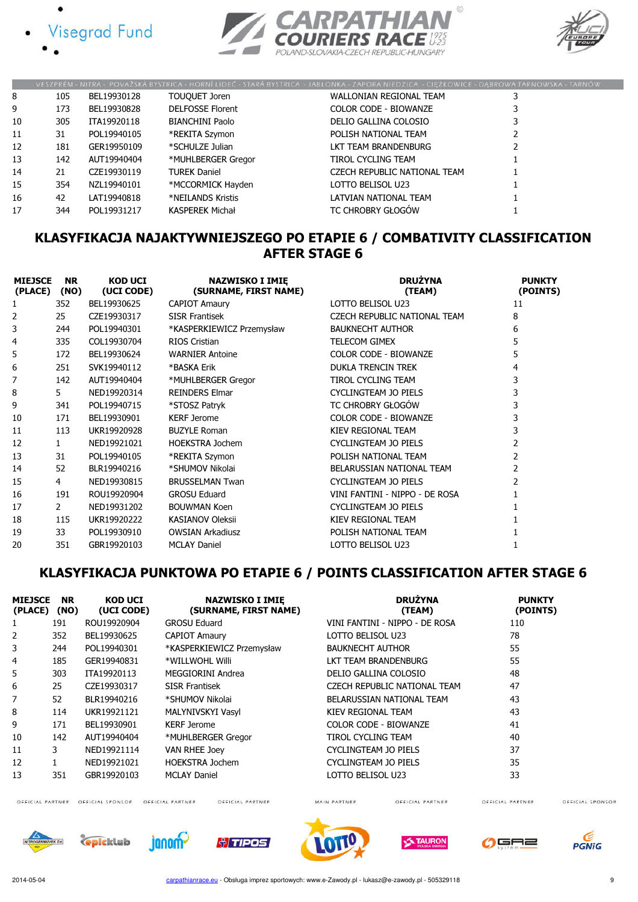





|    |     |             |                         | VESZPRÉM - NITRA - POVAŽSKÁ BYSTRICA - HORNÍ LIDEČ - STARÁ BYSTRICA - JABŁONKA - ZAPORA NIEDZICA - CIĘŻKOWICE - DĄBROWA TARNOWSKA - TARNÓW |  |
|----|-----|-------------|-------------------------|--------------------------------------------------------------------------------------------------------------------------------------------|--|
| 8  | 105 | BEL19930128 | TOUQUET Joren           | WALLONIAN REGIONAL TEAM                                                                                                                    |  |
| 9  | 173 | BEL19930828 | <b>DELFOSSE Florent</b> | <b>COLOR CODE - BIOWANZE</b>                                                                                                               |  |
| 10 | 305 | ITA19920118 | <b>BIANCHINI Paolo</b>  | DELIO GALLINA COLOSIO                                                                                                                      |  |
| 11 | 31  | POL19940105 | *REKITA Szymon          | POLISH NATIONAL TEAM                                                                                                                       |  |
| 12 | 181 | GER19950109 | *SCHULZE Julian         | LKT TEAM BRANDENBURG                                                                                                                       |  |
| 13 | 142 | AUT19940404 | *MUHLBERGER Gregor      | TIROL CYCLING TEAM                                                                                                                         |  |
| 14 | 21  | CZE19930119 | <b>TUREK Daniel</b>     | CZECH REPUBLIC NATIONAL TEAM                                                                                                               |  |
| 15 | 354 | NZL19940101 | *MCCORMICK Hayden       | LOTTO BELISOL U23                                                                                                                          |  |
| 16 | 42  | LAT19940818 | *NEILANDS Kristis       | LATVIAN NATIONAL TEAM                                                                                                                      |  |
| 17 | 344 | POL19931217 | <b>KASPEREK Michał</b>  | TC CHROBRY GŁOGÓW                                                                                                                          |  |

#### KLASYFIKACJA NAJAKTYWNIEJSZEGO PO ETAPIE 6 / COMBATIVITY CLASSIFICATION AFTER STAGE 6

| <b>MIEJSCE</b><br>(PLACE) | <b>NR</b><br>(NO) | <b>KOD UCI</b><br>(UCI CODE) | <b>NAZWISKO I IMIE</b><br>(SURNAME, FIRST NAME) | <b>DRUŽYNA</b><br>(TEAM)       | <b>PUNKTY</b><br>(POINTS) |
|---------------------------|-------------------|------------------------------|-------------------------------------------------|--------------------------------|---------------------------|
|                           | 352               | BEL19930625                  | <b>CAPIOT Amaury</b>                            | LOTTO BELISOL U23              | 11                        |
| 2                         | 25                | CZE19930317                  | <b>SISR Frantisek</b>                           | CZECH REPUBLIC NATIONAL TEAM   | 8                         |
| 3                         | 244               | POL19940301                  | *KASPERKIEWICZ Przemysław                       | <b>BAUKNECHT AUTHOR</b>        | 6                         |
| 4                         | 335               | COL19930704                  | RIOS Cristian                                   | <b>TELECOM GIMEX</b>           | 5                         |
| 5                         | 172               | BEL19930624                  | <b>WARNIER Antoine</b>                          | <b>COLOR CODE - BIOWANZE</b>   |                           |
| 6                         | 251               | SVK19940112                  | *BASKA Erik                                     | <b>DUKLA TRENCIN TREK</b>      | 4                         |
| 7                         | 142               | AUT19940404                  | *MUHLBERGER Gregor                              | TIROL CYCLING TEAM             | 3                         |
| 8                         | 5.                | NED19920314                  | <b>REINDERS Elmar</b>                           | <b>CYCLINGTEAM JO PIELS</b>    | 3                         |
| 9                         | 341               | POL19940715                  | *STOSZ Patryk                                   | TC CHROBRY GŁOGÓW              | 3                         |
| 10                        | 171               | BEL19930901                  | <b>KERF Jerome</b>                              | <b>COLOR CODE - BIOWANZE</b>   | 3                         |
| 11                        | 113               | UKR19920928                  | <b>BUZYLE Roman</b>                             | KIEV REGIONAL TEAM             | 3                         |
| 12                        | $\mathbf{1}$      | NED19921021                  | <b>HOEKSTRA Jochem</b>                          | CYCLINGTEAM JO PIELS           |                           |
| 13                        | 31                | POL19940105                  | *REKITA Szymon                                  | POLISH NATIONAL TEAM           | 2                         |
| 14                        | 52                | BLR19940216                  | *SHUMOV Nikolai                                 | BELARUSSIAN NATIONAL TEAM      | 2                         |
| 15                        | 4                 | NED19930815                  | <b>BRUSSELMAN Twan</b>                          | <b>CYCLINGTEAM JO PIELS</b>    |                           |
| 16                        | 191               | ROU19920904                  | <b>GROSU Eduard</b>                             | VINI FANTINI - NIPPO - DE ROSA |                           |
| 17                        | 2                 | NED19931202                  | <b>BOUWMAN Koen</b>                             | <b>CYCLINGTEAM JO PIELS</b>    |                           |
| 18                        | 115               | UKR19920222                  | <b>KASIANOV Oleksii</b>                         | KIEV REGIONAL TEAM             |                           |
| 19                        | 33                | POL19930910                  | <b>OWSIAN Arkadiusz</b>                         | POLISH NATIONAL TEAM           |                           |
| 20                        | 351               | GBR19920103                  | <b>MCLAY Daniel</b>                             | LOTTO BELISOL U23              |                           |

### KLASYFIKACJA PUNKTOWA PO ETAPIE 6 / POINTS CLASSIFICATION AFTER STAGE 6

| <b>MIEJSCE</b><br>(PLACE) | <b>NR</b><br>(NO) | <b>KOD UCI</b><br>(UCI CODE) | <b>NAZWISKO I IMIE</b><br>(SURNAME, FIRST NAME) | <b>DRUŻYNA</b><br>(TEAM)       | <b>PUNKTY</b><br>(POINTS) |
|---------------------------|-------------------|------------------------------|-------------------------------------------------|--------------------------------|---------------------------|
|                           | 191               | ROU19920904                  | <b>GROSU Eduard</b>                             | VINI FANTINI - NIPPO - DE ROSA | 110                       |
| 2                         | 352               | BEL19930625                  | <b>CAPIOT Amaury</b>                            | LOTTO BELISOL U23              | 78                        |
| 3                         | 244               | POL19940301                  | *KASPERKIEWICZ Przemysław                       | <b>BAUKNECHT AUTHOR</b>        | 55                        |
| 4                         | 185               | GER19940831                  | *WILLWOHL Willi                                 | LKT TEAM BRANDENBURG           | 55                        |
| 5                         | 303               | ITA19920113                  | MEGGIORINI Andrea                               | DELIO GALLINA COLOSIO          | 48                        |
| 6                         | 25                | CZE19930317                  | <b>SISR Frantisek</b>                           | CZECH REPUBLIC NATIONAL TEAM   | 47                        |
| 7                         | 52                | BLR19940216                  | *SHUMOV Nikolai                                 | BELARUSSIAN NATIONAL TEAM      | 43                        |
| 8                         | 114               | UKR19921121                  | MALYNIVSKYI Vasyl                               | KIEV REGIONAL TEAM             | 43                        |
| 9                         | 171               | BEL19930901                  | <b>KERF Jerome</b>                              | <b>COLOR CODE - BIOWANZE</b>   | 41                        |
| 10                        | 142               | AUT19940404                  | *MUHLBERGER Gregor                              | TIROL CYCLING TEAM             | 40                        |
| 11                        | 3                 | NED19921114                  | <b>VAN RHEE Joey</b>                            | CYCLINGTEAM JO PIELS           | 37                        |
| 12                        |                   | NED19921021                  | <b>HOEKSTRA Jochem</b>                          | CYCLINGTEAM JO PIELS           | 35                        |
| 13                        | 351               | GBR19920103                  | <b>MCLAY Daniel</b>                             | LOTTO BELISOL U23              | 33                        |

OFFICIAL PARTNER OFFICIAL SPONSOR OFFICIAL PARTNER

OFFICIAL PARTNER

MAIN PARTNER

OFFICIAL PARTNER

OFFICIAL PARTNER













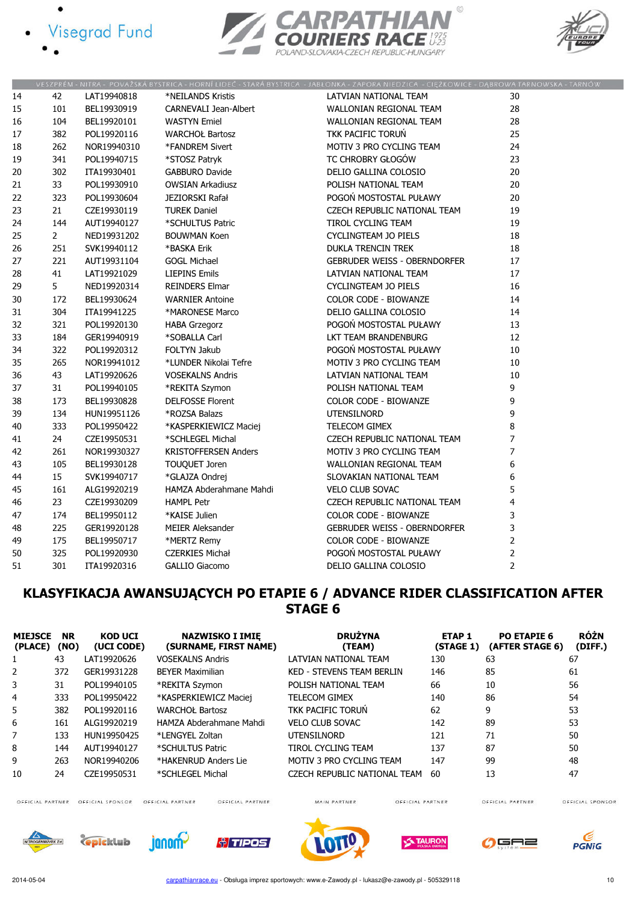





|    |                |             |                              | VESZPRÉM - NITRA - POVAŽSKÁ BYSTRICA - HORNÍ LIDEČ - STARÁ BYSTRICA - JABŁONKA - ZAPORA NIEDZICA - CIĘŻKOWICE - DĄBROWA TARNOWSKA - TARNÓ |                |  |
|----|----------------|-------------|------------------------------|-------------------------------------------------------------------------------------------------------------------------------------------|----------------|--|
| 14 | 42             | LAT19940818 | *NEILANDS Kristis            | LATVIAN NATIONAL TEAM                                                                                                                     | 30             |  |
| 15 | 101            | BEL19930919 | <b>CARNEVALI Jean-Albert</b> | WALLONIAN REGIONAL TEAM                                                                                                                   | 28             |  |
| 16 | 104            | BEL19920101 | <b>WASTYN</b> Emiel          | WALLONIAN REGIONAL TEAM                                                                                                                   | 28             |  |
| 17 | 382            | POL19920116 | <b>WARCHOŁ Bartosz</b>       | TKK PACIFIC TORUŃ                                                                                                                         | 25             |  |
| 18 | 262            | NOR19940310 | *FANDREM Sivert              | MOTIV 3 PRO CYCLING TEAM                                                                                                                  | 24             |  |
| 19 | 341            | POL19940715 | *STOSZ Patryk                | TC CHROBRY GŁOGÓW                                                                                                                         | 23             |  |
| 20 | 302            | ITA19930401 | <b>GABBURO Davide</b>        | DELIO GALLINA COLOSIO                                                                                                                     | 20             |  |
| 21 | 33             | POL19930910 | <b>OWSIAN Arkadiusz</b>      | POLISH NATIONAL TEAM                                                                                                                      | 20             |  |
| 22 | 323            | POL19930604 | JEZIORSKI Rafał              | POGOŃ MOSTOSTAL PUŁAWY                                                                                                                    | 20             |  |
| 23 | 21             | CZE19930119 | <b>TUREK Daniel</b>          | CZECH REPUBLIC NATIONAL TEAM                                                                                                              | 19             |  |
| 24 | 144            | AUT19940127 | *SCHULTUS Patric             | TIROL CYCLING TEAM                                                                                                                        | 19             |  |
| 25 | $\overline{2}$ | NED19931202 | <b>BOUWMAN Koen</b>          | <b>CYCLINGTEAM JO PIELS</b>                                                                                                               | 18             |  |
| 26 | 251            | SVK19940112 | *BASKA Erik                  | DUKLA TRENCIN TREK                                                                                                                        | 18             |  |
| 27 | 221            | AUT19931104 | <b>GOGL Michael</b>          | <b>GEBRUDER WEISS - OBERNDORFER</b>                                                                                                       | 17             |  |
| 28 | 41             | LAT19921029 | <b>LIEPINS Emils</b>         | LATVIAN NATIONAL TEAM                                                                                                                     | 17             |  |
| 29 | 5              | NED19920314 | <b>REINDERS Elmar</b>        | <b>CYCLINGTEAM JO PIELS</b>                                                                                                               | 16             |  |
| 30 | 172            | BEL19930624 | <b>WARNIER Antoine</b>       | COLOR CODE - BIOWANZE                                                                                                                     | 14             |  |
| 31 | 304            | ITA19941225 | *MARONESE Marco              | DELIO GALLINA COLOSIO                                                                                                                     | 14             |  |
| 32 | 321            | POL19920130 | <b>HABA Grzegorz</b>         | POGOŃ MOSTOSTAL PUŁAWY                                                                                                                    | 13             |  |
| 33 | 184            | GER19940919 | *SOBALLA Carl                | LKT TEAM BRANDENBURG                                                                                                                      | 12             |  |
| 34 | 322            | POL19920312 | FOLTYN Jakub                 | POGOŃ MOSTOSTAL PUŁAWY                                                                                                                    | $10\,$         |  |
| 35 | 265            | NOR19941012 | *LUNDER Nikolai Tefre        | MOTIV 3 PRO CYCLING TEAM                                                                                                                  | 10             |  |
| 36 | 43             | LAT19920626 | <b>VOSEKALNS Andris</b>      | LATVIAN NATIONAL TEAM                                                                                                                     | 10             |  |
| 37 | 31             | POL19940105 | *REKITA Szymon               | POLISH NATIONAL TEAM                                                                                                                      | 9              |  |
| 38 | 173            | BEL19930828 | <b>DELFOSSE Florent</b>      | COLOR CODE - BIOWANZE                                                                                                                     | 9              |  |
| 39 | 134            | HUN19951126 | *ROZSA Balazs                | <b>UTENSILNORD</b>                                                                                                                        | 9              |  |
| 40 | 333            | POL19950422 | *KASPERKIEWICZ Maciej        | <b>TELECOM GIMEX</b>                                                                                                                      | 8              |  |
| 41 | 24             | CZE19950531 | *SCHLEGEL Michal             | CZECH REPUBLIC NATIONAL TEAM                                                                                                              | 7              |  |
| 42 | 261            | NOR19930327 | <b>KRISTOFFERSEN Anders</b>  | MOTIV 3 PRO CYCLING TEAM                                                                                                                  | 7              |  |
| 43 | 105            | BEL19930128 | TOUQUET Joren                | WALLONIAN REGIONAL TEAM                                                                                                                   | 6              |  |
| 44 | 15             | SVK19940717 | *GLAJZA Ondrej               | SLOVAKIAN NATIONAL TEAM                                                                                                                   | 6              |  |
| 45 | 161            | ALG19920219 | HAMZA Abderahmane Mahdi      | <b>VELO CLUB SOVAC</b>                                                                                                                    | 5              |  |
| 46 | 23             | CZE19930209 | <b>HAMPL Petr</b>            | CZECH REPUBLIC NATIONAL TEAM                                                                                                              | 4              |  |
| 47 | 174            | BEL19950112 | *KAISE Julien                | <b>COLOR CODE - BIOWANZE</b>                                                                                                              | 3              |  |
| 48 | 225            | GER19920128 | MEIER Aleksander             | <b>GEBRUDER WEISS - OBERNDORFER</b>                                                                                                       | 3              |  |
| 49 | 175            | BEL19950717 | *MERTZ Remy                  | COLOR CODE - BIOWANZE                                                                                                                     | $\overline{2}$ |  |
| 50 | 325            | POL19920930 | <b>CZERKIES Michał</b>       | POGOŃ MOSTOSTAL PUŁAWY                                                                                                                    | 2              |  |
| 51 | 301            | ITA19920316 | <b>GALLIO Giacomo</b>        | DELIO GALLINA COLOSIO                                                                                                                     | $\overline{2}$ |  |

### KLASYFIKACJA AWANSUJĄCYCH PO ETAPIE 6 / ADVANCE RIDER CLASSIFICATION AFTER STAGE 6

| <b>MIEJSCE</b><br>(PLACE) | <b>NR</b><br>(NO) | <b>KOD UCI</b><br>(UCI CODE) | <b>NAZWISKO I IMIE</b><br>(SURNAME, FIRST NAME) | <b>DRUŻYNA</b><br>(TEAM)         | <b>ETAP1</b><br>(STAGE 1) | PO ETAPIE 6<br>(AFTER STAGE 6) | <b>RÓŻN</b><br>(DIFF.) |
|---------------------------|-------------------|------------------------------|-------------------------------------------------|----------------------------------|---------------------------|--------------------------------|------------------------|
| 1                         | 43                | LAT19920626                  | <b>VOSEKALNS Andris</b>                         | LATVIAN NATIONAL TEAM            | 130                       | 63                             | 67                     |
| 2                         | 372               | GER19931228                  | <b>BEYER Maximilian</b>                         | <b>KED - STEVENS TEAM BERLIN</b> | 146                       | 85                             | 61                     |
| 3                         | 31                | POL19940105                  | *REKITA Szymon                                  | POLISH NATIONAL TEAM             | 66                        | 10                             | 56                     |
| 4                         | 333               | POL19950422                  | *KASPERKIEWICZ Maciej                           | <b>TELECOM GIMEX</b>             | 140                       | 86                             | 54                     |
| 5.                        | 382               | POL19920116                  | <b>WARCHOŁ Bartosz</b>                          | TKK PACIFIC TORUN                | 62                        | 9                              | 53                     |
| 6                         | 161               | ALG19920219                  | HAMZA Abderahmane Mahdi                         | <b>VELO CLUB SOVAC</b>           | 142                       | 89                             | 53                     |
| 7                         | 133               | HUN19950425                  | *LENGYEL Zoltan                                 | <b>UTENSILNORD</b>               | 121                       | 71                             | 50                     |
| 8                         | 144               | AUT19940127                  | *SCHULTUS Patric                                | <b>TIROL CYCLING TEAM</b>        | 137                       | 87                             | 50                     |
| 9                         | 263               | NOR19940206                  | *HAKENRUD Anders Lie                            | MOTIV 3 PRO CYCLING TEAM         | 147                       | 99                             | 48                     |
| 10                        | 24                | CZE19950531                  | *SCHLEGEL Michal                                | CZECH REPUBLIC NATIONAL TEAM     | 60                        | 13                             | 47                     |

OFFICIAL PARTNER OFFICIAL SPONSOR OFFICIAL PARTNER

OFFICIAL PARTNER

MAIN PARTNER

OFFICIAL PARTNER

OFFICIAL SPONSOR













OFFICIAL PARTNER



 $rac{C}{PGNIG}$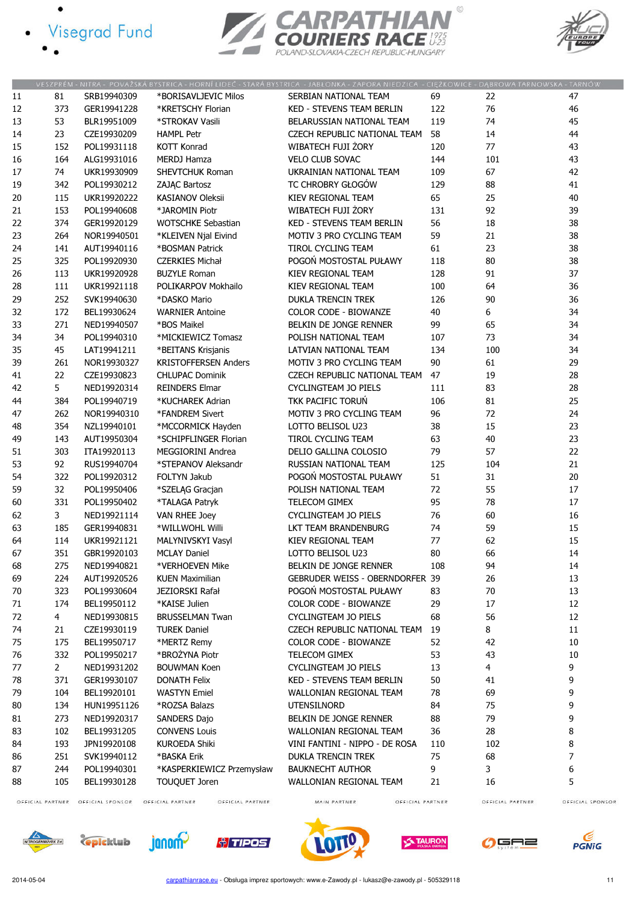- · Visegrad Fund
	-

 $\bullet$ 





|    |                |             |                             | VESZPRÉM - NITRA - POVAŽSKÁ BYSTRICA - HORNÍ LIDEČ - STARÁ BYSTRICA - JABŁONKA - ZAPORA NIEDZICA - CIĘŻKOWICE - DĄBROWA TARNOWSKA - TARNÓW |     |     |    |
|----|----------------|-------------|-----------------------------|--------------------------------------------------------------------------------------------------------------------------------------------|-----|-----|----|
| 11 | 81             | SRB19940309 | *BORISAVLJEVIC Milos        | SERBIAN NATIONAL TEAM                                                                                                                      | 69  | 22  | 47 |
| 12 | 373            | GER19941228 | *KRETSCHY Florian           | KED - STEVENS TEAM BERLIN                                                                                                                  | 122 | 76  | 46 |
| 13 | 53             | BLR19951009 | *STROKAV Vasili             | BELARUSSIAN NATIONAL TEAM                                                                                                                  | 119 | 74  | 45 |
| 14 | 23             | CZE19930209 | <b>HAMPL Petr</b>           | CZECH REPUBLIC NATIONAL TEAM                                                                                                               | 58  | 14  | 44 |
| 15 | 152            | POL19931118 | <b>KOTT Konrad</b>          | WIBATECH FUJI ŻORY                                                                                                                         | 120 | 77  | 43 |
| 16 | 164            | ALG19931016 | <b>MERDJ Hamza</b>          | <b>VELO CLUB SOVAC</b>                                                                                                                     | 144 | 101 | 43 |
| 17 | 74             | UKR19930909 | SHEVTCHUK Roman             | UKRAINIAN NATIONAL TEAM                                                                                                                    | 109 | 67  | 42 |
| 19 | 342            | POL19930212 | ZAJĄC Bartosz               | TC CHROBRY GŁOGÓW                                                                                                                          | 129 | 88  | 41 |
| 20 | 115            | UKR19920222 | <b>KASIANOV Oleksii</b>     | KIEV REGIONAL TEAM                                                                                                                         | 65  | 25  | 40 |
| 21 | 153            | POL19940608 | *JAROMIN Piotr              | WIBATECH FUJI ŻORY                                                                                                                         | 131 | 92  | 39 |
| 22 | 374            | GER19920129 | <b>WOTSCHKE Sebastian</b>   | KED - STEVENS TEAM BERLIN                                                                                                                  | 56  | 18  | 38 |
| 23 | 264            | NOR19940501 | *KLEIVEN Njal Eivind        | MOTIV 3 PRO CYCLING TEAM                                                                                                                   | 59  | 21  | 38 |
| 24 | 141            | AUT19940116 | *BOSMAN Patrick             | TIROL CYCLING TEAM                                                                                                                         | 61  | 23  | 38 |
| 25 | 325            | POL19920930 | <b>CZERKIES Michał</b>      | POGOŃ MOSTOSTAL PUŁAWY                                                                                                                     | 118 | 80  | 38 |
| 26 | 113            | UKR19920928 | <b>BUZYLE Roman</b>         | KIEV REGIONAL TEAM                                                                                                                         | 128 | 91  | 37 |
| 28 | 111            | UKR19921118 | POLIKARPOV Mokhailo         | KIEV REGIONAL TEAM                                                                                                                         | 100 | 64  | 36 |
| 29 | 252            | SVK19940630 | *DASKO Mario                | <b>DUKLA TRENCIN TREK</b>                                                                                                                  | 126 | 90  | 36 |
| 32 | 172            | BEL19930624 | <b>WARNIER Antoine</b>      | COLOR CODE - BIOWANZE                                                                                                                      | 40  | 6   | 34 |
| 33 | 271            | NED19940507 | *BOS Maikel                 | BELKIN DE JONGE RENNER                                                                                                                     | 99  | 65  | 34 |
| 34 | 34             | POL19940310 | *MICKIEWICZ Tomasz          | POLISH NATIONAL TEAM                                                                                                                       | 107 | 73  | 34 |
| 35 | 45             | LAT19941211 | *BEITANS Krisjanis          | LATVIAN NATIONAL TEAM                                                                                                                      | 134 | 100 | 34 |
| 39 | 261            | NOR19930327 | <b>KRISTOFFERSEN Anders</b> | MOTIV 3 PRO CYCLING TEAM                                                                                                                   | 90  | 61  | 29 |
| 41 | 22             | CZE19930823 | <b>CHLUPAC Dominik</b>      | CZECH REPUBLIC NATIONAL TEAM                                                                                                               | 47  | 19  | 28 |
| 42 | 5              | NED19920314 | <b>REINDERS Elmar</b>       | <b>CYCLINGTEAM JO PIELS</b>                                                                                                                | 111 | 83  | 28 |
| 44 | 384            | POL19940719 | *KUCHAREK Adrian            | TKK PACIFIC TORUŃ                                                                                                                          | 106 | 81  | 25 |
| 47 | 262            | NOR19940310 | *FANDREM Sivert             | <b>MOTIV 3 PRO CYCLING TEAM</b>                                                                                                            | 96  | 72  | 24 |
| 48 | 354            | NZL19940101 | *MCCORMICK Hayden           | LOTTO BELISOL U23                                                                                                                          | 38  | 15  | 23 |
| 49 | 143            | AUT19950304 | *SCHIPFLINGER Florian       | TIROL CYCLING TEAM                                                                                                                         | 63  | 40  | 23 |
| 51 | 303            | ITA19920113 | <b>MEGGIORINI Andrea</b>    | DELIO GALLINA COLOSIO                                                                                                                      | 79  | 57  | 22 |
| 53 | 92             | RUS19940704 | *STEPANOV Aleksandr         | RUSSIAN NATIONAL TEAM                                                                                                                      | 125 | 104 | 21 |
| 54 | 322            | POL19920312 | FOLTYN Jakub                | POGOŃ MOSTOSTAL PUŁAWY                                                                                                                     | 51  | 31  | 20 |
| 59 | 32             | POL19950406 | *SZELAG Gracjan             | POLISH NATIONAL TEAM                                                                                                                       | 72  | 55  | 17 |
| 60 | 331            | POL19950402 | *TALAGA Patryk              | TELECOM GIMEX                                                                                                                              | 95  | 78  | 17 |
| 62 | 3              | NED19921114 | VAN RHEE Joey               | <b>CYCLINGTEAM JO PIELS</b>                                                                                                                | 76  | 60  | 16 |
| 63 | 185            | GER19940831 | *WILLWOHL Willi             | LKT TEAM BRANDENBURG                                                                                                                       | 74  | 59  | 15 |
| 64 | 114            | UKR19921121 | MALYNIVSKYI Vasyl           | KIEV REGIONAL TEAM                                                                                                                         | 77  | 62  | 15 |
| 67 | 351            | GBR19920103 | <b>MCLAY Daniel</b>         | LOTTO BELISOL U23                                                                                                                          | 80  | 66  | 14 |
| 68 | 275            | NED19940821 | *VERHOEVEN Mike             | BELKIN DE JONGE RENNER                                                                                                                     | 108 | 94  | 14 |
| 69 | 224            | AUT19920526 | <b>KUEN Maximilian</b>      | GEBRUDER WEISS - OBERNDORFER 39                                                                                                            |     | 26  | 13 |
| 70 | 323            | POL19930604 | JEZIORSKI Rafał             | POGOŃ MOSTOSTAL PUŁAWY                                                                                                                     | 83  | 70  | 13 |
| 71 | 174            | BEL19950112 | *KAISE Julien               | <b>COLOR CODE - BIOWANZE</b>                                                                                                               | 29  | 17  | 12 |
| 72 | 4              | NED19930815 | <b>BRUSSELMAN Twan</b>      | <b>CYCLINGTEAM JO PIELS</b>                                                                                                                | 68  | 56  | 12 |
| 74 | 21             | CZE19930119 | <b>TUREK Daniel</b>         | CZECH REPUBLIC NATIONAL TEAM                                                                                                               | 19  | 8   | 11 |
| 75 | 175            | BEL19950717 | *MERTZ Remy                 | <b>COLOR CODE - BIOWANZE</b>                                                                                                               | 52  | 42  | 10 |
| 76 | 332            | POL19950217 | *BROŻYNA Piotr              | TELECOM GIMEX                                                                                                                              | 53  | 43  | 10 |
| 77 | $\overline{2}$ | NED19931202 | <b>BOUWMAN Koen</b>         | CYCLINGTEAM JO PIELS                                                                                                                       | 13  | 4   | 9  |
| 78 | 371            | GER19930107 | <b>DONATH Felix</b>         | <b>KED - STEVENS TEAM BERLIN</b>                                                                                                           | 50  | 41  | 9  |
| 79 | 104            | BEL19920101 | <b>WASTYN Emiel</b>         | WALLONIAN REGIONAL TEAM                                                                                                                    | 78  | 69  | 9  |
| 80 | 134            | HUN19951126 | *ROZSA Balazs               | <b>UTENSILNORD</b>                                                                                                                         | 84  | 75  | 9  |
| 81 | 273            | NED19920317 | SANDERS Dajo                | BELKIN DE JONGE RENNER                                                                                                                     | 88  | 79  | 9  |
| 83 | 102            | BEL19931205 | <b>CONVENS Louis</b>        | WALLONIAN REGIONAL TEAM                                                                                                                    | 36  | 28  | 8  |
| 84 | 193            | JPN19920108 | <b>KUROEDA Shiki</b>        | VINI FANTINI - NIPPO - DE ROSA                                                                                                             | 110 | 102 | 8  |
| 86 | 251            | SVK19940112 | *BASKA Erik                 | DUKLA TRENCIN TREK                                                                                                                         | 75  | 68  | 7  |
| 87 | 244            | POL19940301 | *KASPERKIEWICZ Przemysław   | <b>BAUKNECHT AUTHOR</b>                                                                                                                    | 9   | 3   | 6  |
| 88 | 105            | BEL19930128 | <b>TOUQUET Joren</b>        | WALLONIAN REGIONAL TEAM                                                                                                                    | 21  | 16  | 5  |
|    |                |             |                             |                                                                                                                                            |     |     |    |

OFFICIAL PARTNER OFFICIAL SPONSOR OFFICIAL PARTNER

OFFICIAL PARTNER

MAIN PARTNER

OFFICIAL PARTNER

OFFICIAL SPONSOR













OFFICIAL PARTNER



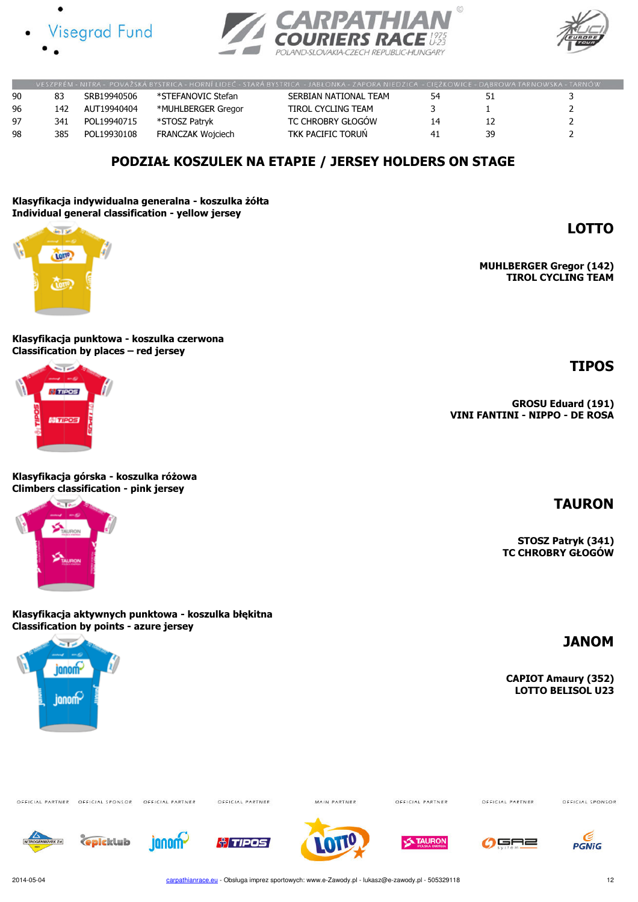





LOTTO

TIPOS

MUHLBERGER Gregor (142) TIROL CYCLING TEAM

|    |     |             |                    | VESZPREM - NITRA - POVAZSKA BYSTRICA - HORNI LIDEC - STARA BYSTRICA - JABŁONKA - ZAPORA NIEDZICA - CIEZKOWICE - DABROWA TARNOWSKA - TARNOW |    |    |  |
|----|-----|-------------|--------------------|--------------------------------------------------------------------------------------------------------------------------------------------|----|----|--|
| 90 | 83  | SRB19940506 | *STEFANOVIC Stefan | SERBIAN NATIONAL TEAM                                                                                                                      | 54 |    |  |
| 96 | 142 | AUT19940404 | *MUHLBERGER Gregor | TIROL CYCLING TEAM                                                                                                                         |    |    |  |
| 97 | 341 | POL19940715 | *STOSZ Patrvk      | TC CHROBRY GŁOGÓW                                                                                                                          | 14 |    |  |
| 98 | 385 | POL19930108 | FRANCZAK Wojciech  | TKK PACIFIC TORUN                                                                                                                          | 41 | 30 |  |

### PODZIAŁ KOSZULEK NA ETAPIE / JERSEY HOLDERS ON STAGE

#### Klasyfikacja indywidualna generalna - koszulka żółta Individual general classification - yellow jersey



Klasyfikacja punktowa - koszulka czerwona Classification by places – red jersey



Klasyfikacja górska - koszulka różowa Climbers classification - pink jersey



Klasyfikacja aktywnych punktowa - koszulka błękitna Classification by points - azure jersey



OFFICIAL PARTNER OFFICIAL SPONSOR OFFICIAL PARTNER

OFFICIAL PARTNER

MAIN PARTNER

OFFICIAL PARTNER

OFFICIAL PARTNER

OFFICIAL SPONSOR



**Gpicklub** 















2014-05-04 carpathianrace.eu - Obsługa imprez sportowych: www.e-Zawody.pl - lukasz@e-zawody.pl - 505329118

TAURON

STOSZ Patryk (341) TC CHROBRY GŁOGÓW

GROSU Eduard (191)

VINI FANTINI - NIPPO - DE ROSA

### JANOM

CAPIOT Amaury (352) LOTTO BELISOL U23